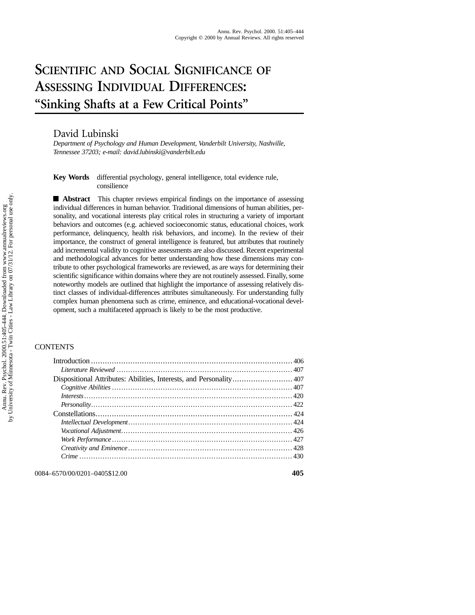# **S**CIENTIFIC AND **S**OCIAL **S**IGNIFICANCE OF **A**SSESSING **I**NDIVIDUAL **D**IFFERENCES**: ''Sinking Shafts at a Few Critical Points''**

# David Lubinski

*Department of Psychology and Human Development, Vanderbilt University, Nashville, Tennessee 37203; e-mail: david.lubinski@vanderbilt.edu*

**Key Words** differential psychology, general intelligence, total evidence rule, consilience

**Abstract** This chapter reviews empirical findings on the importance of assessing individual differences in human behavior. Traditional dimensions of human abilities, personality, and vocational interests play critical roles in structuring a variety of important behaviors and outcomes (e.g. achieved socioeconomic status, educational choices, work performance, delinquency, health risk behaviors, and income). In the review of their importance, the construct of general intelligence is featured, but attributes that routinely add incremental validity to cognitive assessments are also discussed. Recent experimental and methodological advances for better understanding how these dimensions may contribute to other psychological frameworks are reviewed, as are ways for determining their scientific significance within domains where they are not routinely assessed. Finally, some noteworthy models are outlined that highlight the importance of assessing relatively distinct classes of individual-differences attributes simultaneously. For understanding fully complex human phenomena such as crime, eminence, and educational-vocational development, such a multifaceted approach is likely to be the most productive.

# **CONTENTS**

0084–6570/00/0201–0405\$12.00 **405**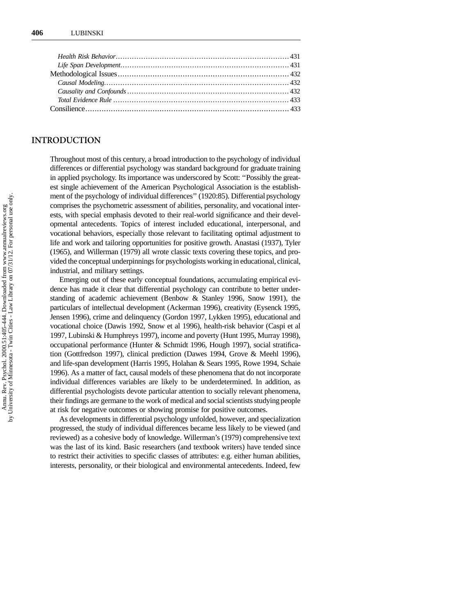# **INTRODUCTION**

Throughout most of this century, a broad introduction to the psychology of individual differences or differential psychology was standard background for graduate training in applied psychology. Its importance was underscored by Scott: ''Possibly the greatest single achievement of the American Psychological Association is the establishment of the psychology of individual differences'' (1920:85). Differential psychology comprises the psychometric assessment of abilities, personality, and vocational interests, with special emphasis devoted to their real-world significance and their developmental antecedents. Topics of interest included educational, interpersonal, and vocational behaviors, especially those relevant to facilitating optimal adjustment to life and work and tailoring opportunities for positive growth. Anastasi (1937), Tyler (1965), and Willerman (1979) all wrote classic texts covering these topics, and provided the conceptual underpinnings for psychologists working in educational, clinical, industrial, and military settings.

Emerging out of these early conceptual foundations, accumulating empirical evidence has made it clear that differential psychology can contribute to better understanding of academic achievement (Benbow & Stanley 1996, Snow 1991), the particulars of intellectual development (Ackerman 1996), creativity (Eysenck 1995, Jensen 1996), crime and delinquency (Gordon 1997, Lykken 1995), educational and vocational choice (Dawis 1992, Snow et al 1996), health-risk behavior (Caspi et al 1997, Lubinski & Humphreys 1997), income and poverty (Hunt 1995, Murray 1998), occupational performance (Hunter & Schmidt 1996, Hough 1997), social stratification (Gottfredson 1997), clinical prediction (Dawes 1994, Grove & Meehl 1996), and life-span development (Harris 1995, Holahan & Sears 1995, Rowe 1994, Schaie 1996). As a matter of fact, causal models of these phenomena that do not incorporate individual differences variables are likely to be underdetermined. In addition, as differential psychologists devote particular attention to socially relevant phenomena, their findings are germane to the work of medical and social scientists studying people at risk for negative outcomes or showing promise for positive outcomes.

As developments in differential psychology unfolded, however, and specialization progressed, the study of individual differences became less likely to be viewed (and reviewed) as a cohesive body of knowledge. Willerman's (1979) comprehensive text was the last of its kind. Basic researchers (and textbook writers) have tended since to restrict their activities to specific classes of attributes: e.g. either human abilities, interests, personality, or their biological and environmental antecedents. Indeed, few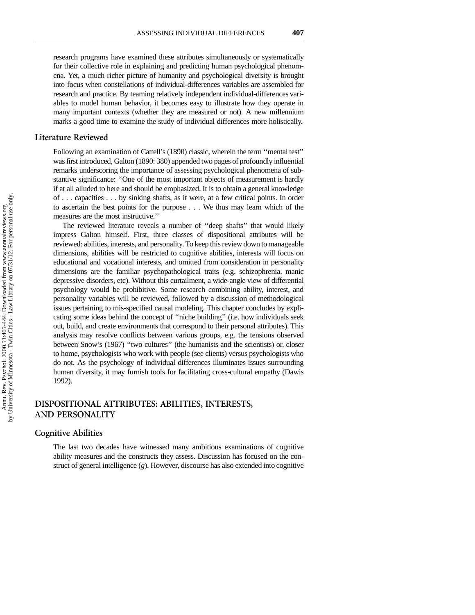research programs have examined these attributes simultaneously or systematically for their collective role in explaining and predicting human psychological phenomena. Yet, a much richer picture of humanity and psychological diversity is brought into focus when constellations of individual-differences variables are assembled for research and practice. By teaming relatively independent individual-differences variables to model human behavior, it becomes easy to illustrate how they operate in many important contexts (whether they are measured or not). A new millennium marks a good time to examine the study of individual differences more holistically.

#### **Literature Reviewed**

Following an examination of Cattell's (1890) classic, wherein the term ''mental test'' was first introduced, Galton (1890: 380) appended two pages of profoundly influential remarks underscoring the importance of assessing psychological phenomena of substantive significance: ''One of the most important objects of measurement is hardly if at all alluded to here and should be emphasized. It is to obtain a general knowledge of . . . capacities . . . by sinking shafts, as it were, at a few critical points. In order to ascertain the best points for the purpose . . . We thus may learn which of the measures are the most instructive.''

The reviewed literature reveals a number of ''deep shafts'' that would likely impress Galton himself. First, three classes of dispositional attributes will be reviewed: abilities, interests, and personality. To keep this review down to manageable dimensions, abilities will be restricted to cognitive abilities, interests will focus on educational and vocational interests, and omitted from consideration in personality dimensions are the familiar psychopathological traits (e.g. schizophrenia, manic depressive disorders, etc). Without this curtailment, a wide-angle view of differential psychology would be prohibitive. Some research combining ability, interest, and personality variables will be reviewed, followed by a discussion of methodological issues pertaining to mis-specified causal modeling. This chapter concludes by explicating some ideas behind the concept of ''niche building'' (i.e. how individuals seek out, build, and create environments that correspond to their personal attributes). This analysis may resolve conflicts between various groups, e.g. the tensions observed between Snow's (1967) ''two cultures'' (the humanists and the scientists) or, closer to home, psychologists who work with people (see clients) versus psychologists who do not. As the psychology of individual differences illuminates issues surrounding human diversity, it may furnish tools for facilitating cross-cultural empathy (Dawis 1992).

# **DISPOSITIONAL ATTRIBUTES: ABILITIES, INTERESTS, AND PERSONALITY**

#### **Cognitive Abilities**

The last two decades have witnessed many ambitious examinations of cognitive ability measures and the constructs they assess. Discussion has focused on the construct of general intelligence (*g*). However, discourse has also extended into cognitive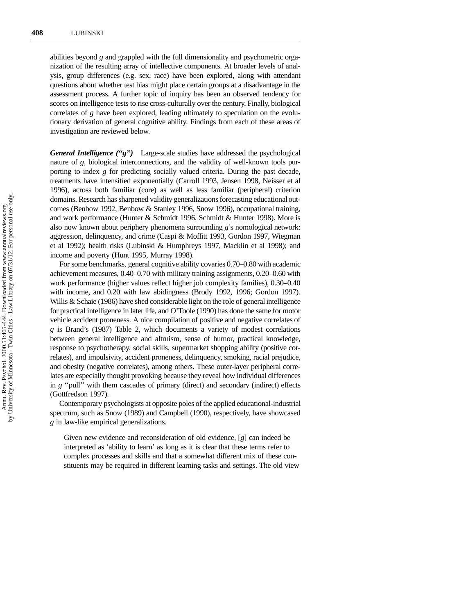abilities beyond *g* and grappled with the full dimensionality and psychometric organization of the resulting array of intellective components. At broader levels of analysis, group differences (e.g. sex, race) have been explored, along with attendant questions about whether test bias might place certain groups at a disadvantage in the assessment process. A further topic of inquiry has been an observed tendency for scores on intelligence tests to rise cross-culturally over the century. Finally, biological correlates of *g* have been explored, leading ultimately to speculation on the evolutionary derivation of general cognitive ability. Findings from each of these areas of investigation are reviewed below.

*General Intelligence (''g'')* Large-scale studies have addressed the psychological nature of *g,* biological interconnections, and the validity of well-known tools purporting to index *g* for predicting socially valued criteria. During the past decade, treatments have intensified exponentially (Carroll 1993, Jensen 1998, Neisser et al 1996), across both familiar (core) as well as less familiar (peripheral) criterion domains. Research has sharpened validity generalizations forecasting educationaloutcomes (Benbow 1992, Benbow & Stanley 1996, Snow 1996), occupational training, and work performance (Hunter & Schmidt 1996, Schmidt & Hunter 1998). More is also now known about periphery phenomena surrounding *g*'s nomological network: aggression, delinquency, and crime (Caspi & Moffitt 1993, Gordon 1997, Wiegman et al 1992); health risks (Lubinski & Humphreys 1997, Macklin et al 1998); and income and poverty (Hunt 1995, Murray 1998).

For some benchmarks, general cognitive ability covaries 0.70–0.80 with academic achievement measures, 0.40–0.70 with military training assignments, 0.20–0.60 with work performance (higher values reflect higher job complexity families), 0.30–0.40 with income, and 0.20 with law abidingness (Brody 1992, 1996; Gordon 1997). Willis & Schaie (1986) have shed considerable light on the role of general intelligence for practical intelligence in later life, and O'Toole (1990) has done the same for motor vehicle accident proneness. A nice compilation of positive and negative correlates of *g* is Brand's (1987) Table 2, which documents a variety of modest correlations between general intelligence and altruism, sense of humor, practical knowledge, response to psychotherapy, social skills, supermarket shopping ability (positive correlates), and impulsivity, accident proneness, delinquency, smoking, racial prejudice, and obesity (negative correlates), among others. These outer-layer peripheral correlates are especially thought provoking because they reveal how individual differences in *g* ''pull'' with them cascades of primary (direct) and secondary (indirect) effects (Gottfredson 1997).

Contemporary psychologists at opposite poles of the applied educational-industrial spectrum, such as Snow (1989) and Campbell (1990), respectively, have showcased *g* in law-like empirical generalizations.

Given new evidence and reconsideration of old evidence, [*g*] can indeed be interpreted as 'ability to learn' as long as it is clear that these terms refer to complex processes and skills and that a somewhat different mix of these constituents may be required in different learning tasks and settings. The old view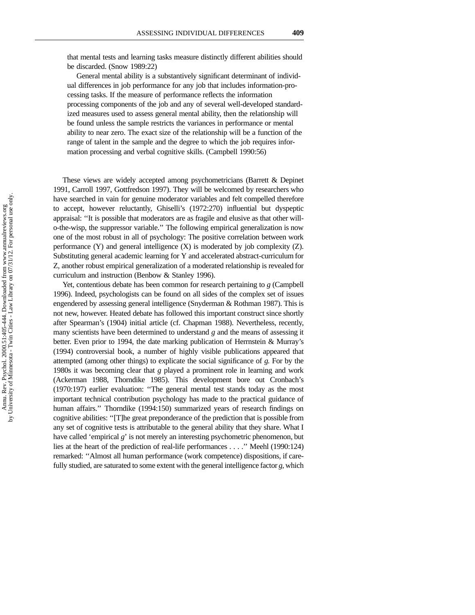that mental tests and learning tasks measure distinctly different abilities should be discarded. (Snow 1989:22)

General mental ability is a substantively significant determinant of individual differences in job performance for any job that includes information-processing tasks. If the measure of performance reflects the information processing components of the job and any of several well-developed standardized measures used to assess general mental ability, then the relationship will be found unless the sample restricts the variances in performance or mental ability to near zero. The exact size of the relationship will be a function of the range of talent in the sample and the degree to which the job requires information processing and verbal cognitive skills. (Campbell 1990:56)

These views are widely accepted among psychometricians (Barrett & Depinet 1991, Carroll 1997, Gottfredson 1997). They will be welcomed by researchers who have searched in vain for genuine moderator variables and felt compelled therefore to accept, however reluctantly, Ghiselli's (1972:270) influential but dyspeptic appraisal: ''It is possible that moderators are as fragile and elusive as that other willo-the-wisp, the suppressor variable.'' The following empirical generalization is now one of the most robust in all of psychology: The positive correlation between work performance  $(Y)$  and general intelligence  $(X)$  is moderated by job complexity  $(Z)$ . Substituting general academic learning for Y and accelerated abstract-curriculum for Z, another robust empirical generalization of a moderated relationship is revealed for curriculum and instruction (Benbow & Stanley 1996).

Yet, contentious debate has been common for research pertaining to *g* (Campbell 1996). Indeed, psychologists can be found on all sides of the complex set of issues engendered by assessing general intelligence (Snyderman & Rothman 1987). This is not new, however. Heated debate has followed this important construct since shortly after Spearman's (1904) initial article (cf. Chapman 1988). Nevertheless, recently, many scientists have been determined to understand *g* and the means of assessing it better. Even prior to 1994, the date marking publication of Herrnstein & Murray's (1994) controversial book, a number of highly visible publications appeared that attempted (among other things) to explicate the social significance of *g.* For by the 1980s it was becoming clear that *g* played a prominent role in learning and work (Ackerman 1988, Thorndike 1985). This development bore out Cronbach's (1970:197) earlier evaluation: ''The general mental test stands today as the most important technical contribution psychology has made to the practical guidance of human affairs.'' Thorndike (1994:150) summarized years of research findings on cognitive abilities: ''[T]he great preponderance of the prediction that is possible from any set of cognitive tests is attributable to the general ability that they share. What I have called 'empirical *g*' is not merely an interesting psychometric phenomenon, but lies at the heart of the prediction of real-life performances . . . .'' Meehl (1990:124) remarked: ''Almost all human performance (work competence) dispositions, if carefully studied, are saturated to some extent with the general intelligence factor *g,* which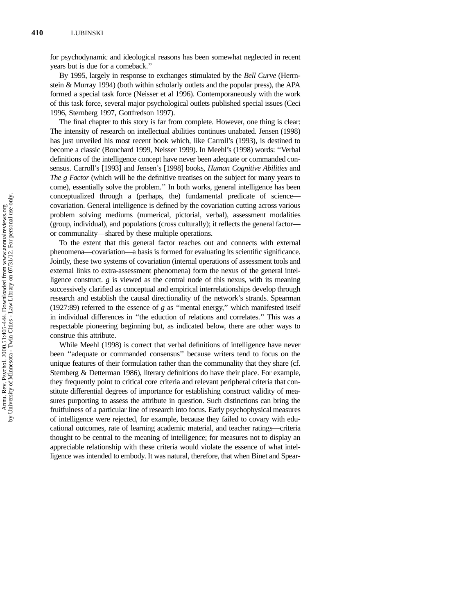for psychodynamic and ideological reasons has been somewhat neglected in recent years but is due for a comeback.''

By 1995, largely in response to exchanges stimulated by the *Bell Curve* (Herrnstein & Murray 1994) (both within scholarly outlets and the popular press), the APA formed a special task force (Neisser et al 1996). Contemporaneously with the work of this task force, several major psychological outlets published special issues (Ceci 1996, Sternberg 1997, Gottfredson 1997).

The final chapter to this story is far from complete. However, one thing is clear: The intensity of research on intellectual abilities continues unabated. Jensen (1998) has just unveiled his most recent book which, like Carroll's (1993), is destined to become a classic (Bouchard 1999, Neisser 1999). In Meehl's (1998) words: ''Verbal definitions of the intelligence concept have never been adequate or commanded consensus. Carroll's [1993] and Jensen's [1998] books, *Human Cognitive Abilities* and *The g Factor* (which will be the definitive treatises on the subject for many years to come), essentially solve the problem.'' In both works, general intelligence has been conceptualized through a (perhaps, the) fundamental predicate of science covariation. General intelligence is defined by the covariation cutting across various problem solving mediums (numerical, pictorial, verbal), assessment modalities (group, individual), and populations (cross culturally); it reflects the general factor or communality—shared by these multiple operations.

To the extent that this general factor reaches out and connects with external phenomena—covariation—a basis is formed for evaluating its scientific significance. Jointly, these two systems of covariation (internal operations of assessment tools and external links to extra-assessment phenomena) form the nexus of the general intelligence construct. *g* is viewed as the central node of this nexus, with its meaning successively clarified as conceptual and empirical interrelationships develop through research and establish the causal directionality of the network's strands. Spearman (1927:89) referred to the essence of *g* as ''mental energy,'' which manifested itself in individual differences in ''the eduction of relations and correlates.'' This was a respectable pioneering beginning but, as indicated below, there are other ways to construe this attribute.

While Meehl (1998) is correct that verbal definitions of intelligence have never been ''adequate or commanded consensus'' because writers tend to focus on the unique features of their formulation rather than the communality that they share (cf. Sternberg & Detterman 1986), literary definitions do have their place. For example, they frequently point to critical core criteria and relevant peripheral criteria that constitute differential degrees of importance for establishing construct validity of measures purporting to assess the attribute in question. Such distinctions can bring the fruitfulness of a particular line of research into focus. Early psychophysical measures of intelligence were rejected, for example, because they failed to covary with educational outcomes, rate of learning academic material, and teacher ratings—criteria thought to be central to the meaning of intelligence; for measures not to display an appreciable relationship with these criteria would violate the essence of what intelligence was intended to embody. It was natural, therefore, that when Binet and Spear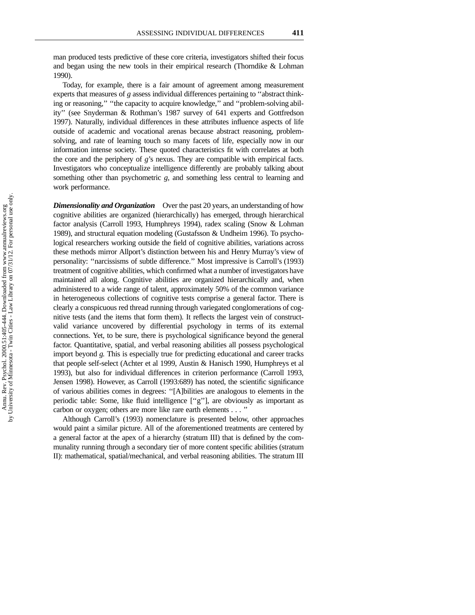man produced tests predictive of these core criteria, investigators shifted their focus and began using the new tools in their empirical research (Thorndike & Lohman 1990).

Today, for example, there is a fair amount of agreement among measurement experts that measures of *g* assess individual differences pertaining to ''abstract thinking or reasoning,'' ''the capacity to acquire knowledge,'' and ''problem-solving ability'' (see Snyderman & Rothman's 1987 survey of 641 experts and Gottfredson 1997). Naturally, individual differences in these attributes influence aspects of life outside of academic and vocational arenas because abstract reasoning, problemsolving, and rate of learning touch so many facets of life, especially now in our information intense society. These quoted characteristics fit with correlates at both the core and the periphery of *g*'s nexus. They are compatible with empirical facts. Investigators who conceptualize intelligence differently are probably talking about something other than psychometric *g,* and something less central to learning and work performance.

*Dimensionality and Organization* Over the past 20 years, an understanding of how cognitive abilities are organized (hierarchically) has emerged, through hierarchical factor analysis (Carroll 1993, Humphreys 1994), radex scaling (Snow & Lohman 1989), and structural equation modeling (Gustafsson & Undheim 1996). To psychological researchers working outside the field of cognitive abilities, variations across these methods mirror Allport's distinction between his and Henry Murray's view of personality: ''narcissisms of subtle difference.'' Most impressive is Carroll's (1993) treatment of cognitive abilities, which confirmed what a number of investigators have maintained all along. Cognitive abilities are organized hierarchically and, when administered to a wide range of talent, approximately 50% of the common variance in heterogeneous collections of cognitive tests comprise a general factor. There is clearly a conspicuous red thread running through variegated conglomerations of cognitive tests (and the items that form them). It reflects the largest vein of constructvalid variance uncovered by differential psychology in terms of its external connections. Yet, to be sure, there is psychological significance beyond the general factor. Quantitative, spatial, and verbal reasoning abilities all possess psychological import beyond *g.* This is especially true for predicting educational and career tracks that people self-select (Achter et al 1999, Austin & Hanisch 1990, Humphreys et al 1993), but also for individual differences in criterion performance (Carroll 1993, Jensen 1998). However, as Carroll (1993:689) has noted, the scientific significance of various abilities comes in degrees: ''[A]bilities are analogous to elements in the periodic table: Some, like fluid intelligence [''g''], are obviously as important as carbon or oxygen; others are more like rare earth elements . . . ''

Although Carroll's (1993) nomenclature is presented below, other approaches would paint a similar picture. All of the aforementioned treatments are centered by a general factor at the apex of a hierarchy (stratum III) that is defined by the communality running through a secondary tier of more content specific abilities (stratum II): mathematical, spatial/mechanical, and verbal reasoning abilities. The stratum III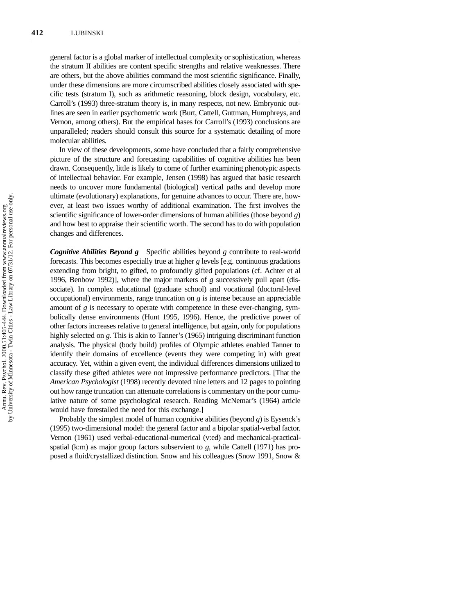general factor is a global marker of intellectual complexity or sophistication, whereas the stratum II abilities are content specific strengths and relative weaknesses. There are others, but the above abilities command the most scientific significance. Finally, under these dimensions are more circumscribed abilities closely associated with specific tests (stratum I), such as arithmetic reasoning, block design, vocabulary, etc. Carroll's (1993) three-stratum theory is, in many respects, not new. Embryonic outlines are seen in earlier psychometric work (Burt, Cattell, Guttman, Humphreys, and Vernon, among others). But the empirical bases for Carroll's (1993) conclusions are unparalleled; readers should consult this source for a systematic detailing of more molecular abilities.

In view of these developments, some have concluded that a fairly comprehensive picture of the structure and forecasting capabilities of cognitive abilities has been drawn. Consequently, little is likely to come of further examining phenotypic aspects of intellectual behavior. For example, Jensen (1998) has argued that basic research needs to uncover more fundamental (biological) vertical paths and develop more ultimate (evolutionary) explanations, for genuine advances to occur. There are, however, at least two issues worthy of additional examination. The first involves the scientific significance of lower-order dimensions of human abilities (those beyond *g*) and how best to appraise their scientific worth. The second has to do with population changes and differences.

*Cognitive Abilities Beyond g* Specific abilities beyond *g* contribute to real-world forecasts. This becomes especially true at higher *g* levels [e.g. continuous gradations extending from bright, to gifted, to profoundly gifted populations (cf. Achter et al 1996, Benbow 1992)], where the major markers of *g* successively pull apart (dissociate). In complex educational (graduate school) and vocational (doctoral-level occupational) environments, range truncation on *g* is intense because an appreciable amount of *g* is necessary to operate with competence in these ever-changing, symbolically dense environments (Hunt 1995, 1996). Hence, the predictive power of other factors increases relative to general intelligence, but again, only for populations highly selected on *g.* This is akin to Tanner's (1965) intriguing discriminant function analysis. The physical (body build) profiles of Olympic athletes enabled Tanner to identify their domains of excellence (events they were competing in) with great accuracy. Yet, within a given event, the individual differences dimensions utilized to classify these gifted athletes were not impressive performance predictors. [That the *American Psychologist* (1998) recently devoted nine letters and 12 pages to pointing out how range truncation can attenuate correlations is commentary on the poor cumulative nature of some psychological research. Reading McNemar's (1964) article would have forestalled the need for this exchange.]

Probably the simplest model of human cognitive abilities (beyond *g*) is Eysenck's (1995) two-dimensional model: the general factor and a bipolar spatial-verbal factor. Vernon (1961) used verbal-educational-numerical (v:ed) and mechanical-practicalspatial (k:m) as major group factors subservient to *g,* while Cattell (1971) has proposed a fluid/crystallized distinction. Snow and his colleagues (Snow 1991, Snow &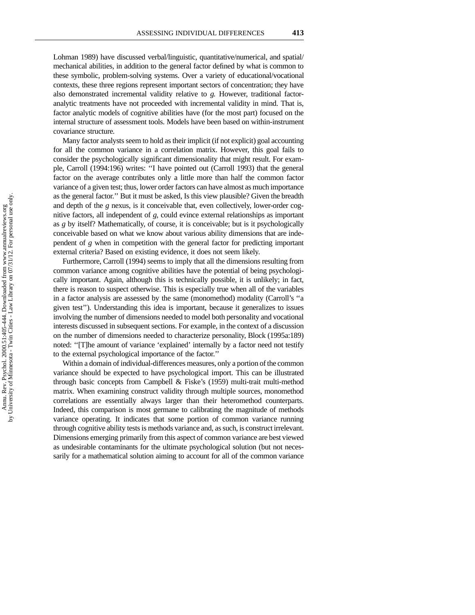Lohman 1989) have discussed verbal/linguistic, quantitative/numerical, and spatial/ mechanical abilities, in addition to the general factor defined by what is common to these symbolic, problem-solving systems. Over a variety of educational/vocational contexts, these three regions represent important sectors of concentration; they have also demonstrated incremental validity relative to *g.* However, traditional factoranalytic treatments have not proceeded with incremental validity in mind. That is, factor analytic models of cognitive abilities have (for the most part) focused on the internal structure of assessment tools. Models have been based on within-instrument covariance structure*.*

Many factor analysts seem to hold as their implicit (if not explicit) goal accounting for all the common variance in a correlation matrix. However, this goal fails to consider the psychologically significant dimensionality that might result. For example, Carroll (1994:196) writes: ''I have pointed out (Carroll 1993) that the general factor on the average contributes only a little more than half the common factor variance of a given test; thus, lower order factors can have almost as much importance as the general factor.'' But it must be asked, Is this view plausible? Given the breadth and depth of the *g* nexus, is it conceivable that, even collectively, lower-order cognitive factors, all independent of *g,* could evince external relationships as important as *g* by itself? Mathematically, of course, it is conceivable; but is it psychologically conceivable based on what we know about various ability dimensions that are independent of *g* when in competition with the general factor for predicting important external criteria? Based on existing evidence, it does not seem likely.

Furthermore, Carroll (1994) seems to imply that all the dimensions resulting from common variance among cognitive abilities have the potential of being psychologically important. Again, although this is technically possible, it is unlikely; in fact, there is reason to suspect otherwise. This is especially true when all of the variables in a factor analysis are assessed by the same (monomethod) modality (Carroll's ''a given test''). Understanding this idea is important, because it generalizes to issues involving the number of dimensions needed to model both personality and vocational interests discussed in subsequent sections. For example, in the context of a discussion on the number of dimensions needed to characterize personality, Block (1995a:189) noted: ''[T]he amount of variance 'explained' internally by a factor need not testify to the external psychological importance of the factor.''

Within a domain of individual-differences measures, only a portion of the common variance should be expected to have psychological import. This can be illustrated through basic concepts from Campbell & Fiske's (1959) multi-trait multi-method matrix. When examining construct validity through multiple sources, monomethod correlations are essentially always larger than their heteromethod counterparts. Indeed, this comparison is most germane to calibrating the magnitude of methods variance operating. It indicates that some portion of common variance running through cognitive ability tests is methods variance and, as such, is construct irrelevant. Dimensions emerging primarily from this aspect of common variance are best viewed as undesirable contaminants for the ultimate psychological solution (but not necessarily for a mathematical solution aiming to account for all of the common variance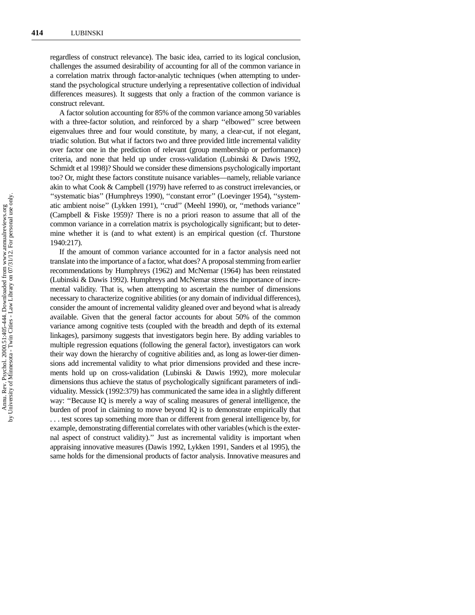regardless of construct relevance). The basic idea, carried to its logical conclusion, challenges the assumed desirability of accounting for all of the common variance in a correlation matrix through factor-analytic techniques (when attempting to understand the psychological structure underlying a representative collection of individual differences measures). It suggests that only a fraction of the common variance is construct relevant.

A factor solution accounting for 85% of the common variance among 50 variables with a three-factor solution, and reinforced by a sharp ''elbowed'' scree between eigenvalues three and four would constitute, by many, a clear-cut, if not elegant, triadic solution. But what if factors two and three provided little incremental validity over factor one in the prediction of relevant (group membership or performance) criteria, and none that held up under cross-validation (Lubinski & Dawis 1992, Schmidt et al 1998)? Should we consider these dimensions psychologically important too? Or, might these factors constitute nuisance variables—namely, reliable variance akin to what Cook & Campbell (1979) have referred to as construct irrelevancies, or ''systematic bias'' (Humphreys 1990), ''constant error'' (Loevinger 1954), ''systematic ambient noise'' (Lykken 1991), ''crud'' (Meehl 1990), or, ''methods variance'' (Campbell & Fiske 1959)? There is no a priori reason to assume that all of the common variance in a correlation matrix is psychologically significant; but to determine whether it is (and to what extent) is an empirical question (cf. Thurstone 1940:217).

If the amount of common variance accounted for in a factor analysis need not translate into the importance of a factor, what does? A proposal stemming from earlier recommendations by Humphreys (1962) and McNemar (1964) has been reinstated (Lubinski & Dawis 1992). Humphreys and McNemar stress the importance of incremental validity. That is, when attempting to ascertain the number of dimensions necessary to characterize cognitive abilities (or any domain of individual differences), consider the amount of incremental validity gleaned over and beyond what is already available. Given that the general factor accounts for about 50% of the common variance among cognitive tests (coupled with the breadth and depth of its external linkages), parsimony suggests that investigators begin here. By adding variables to multiple regression equations (following the general factor), investigators can work their way down the hierarchy of cognitive abilities and, as long as lower-tier dimensions add incremental validity to what prior dimensions provided and these increments hold up on cross-validation (Lubinski & Dawis 1992), more molecular dimensions thus achieve the status of psychologically significant parameters of individuality. Messick (1992:379) has communicated the same idea in a slightly different way: ''Because IQ is merely a way of scaling measures of general intelligence, the burden of proof in claiming to move beyond IQ is to demonstrate empirically that . . . test scores tap something more than or different from general intelligence by, for example, demonstrating differential correlates with other variables (which is the external aspect of construct validity).'' Just as incremental validity is important when appraising innovative measures (Dawis 1992, Lykken 1991, Sanders et al 1995), the same holds for the dimensional products of factor analysis. Innovative measures and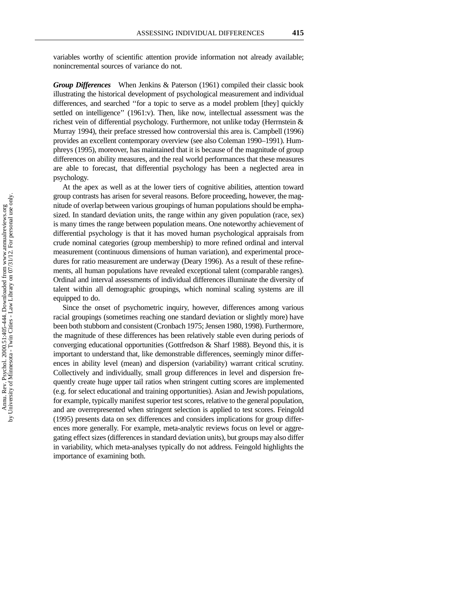variables worthy of scientific attention provide information not already available; nonincremental sources of variance do not.

*Group Differences* When Jenkins & Paterson (1961) compiled their classic book illustrating the historical development of psychological measurement and individual differences, and searched ''for a topic to serve as a model problem [they] quickly settled on intelligence'' (1961:v). Then, like now, intellectual assessment was the richest vein of differential psychology. Furthermore, not unlike today (Herrnstein & Murray 1994), their preface stressed how controversial this area is. Campbell (1996) provides an excellent contemporary overview (see also Coleman 1990–1991). Humphreys (1995), moreover, has maintained that it is because of the magnitude of group differences on ability measures, and the real world performances that these measures are able to forecast, that differential psychology has been a neglected area in psychology.

At the apex as well as at the lower tiers of cognitive abilities, attention toward group contrasts has arisen for several reasons. Before proceeding, however, the magnitude of overlap between various groupings of human populations should be emphasized. In standard deviation units, the range within any given population (race, sex) is many times the range between population means. One noteworthy achievement of differential psychology is that it has moved human psychological appraisals from crude nominal categories (group membership) to more refined ordinal and interval measurement (continuous dimensions of human variation), and experimental procedures for ratio measurement are underway (Deary 1996). As a result of these refinements, all human populations have revealed exceptional talent (comparable ranges). Ordinal and interval assessments of individual differences illuminate the diversity of talent within all demographic groupings, which nominal scaling systems are ill equipped to do.

Since the onset of psychometric inquiry, however, differences among various racial groupings (sometimes reaching one standard deviation or slightly more) have been both stubborn and consistent (Cronbach 1975; Jensen 1980, 1998). Furthermore, the magnitude of these differences has been relatively stable even during periods of converging educational opportunities (Gottfredson & Sharf 1988). Beyond this, it is important to understand that, like demonstrable differences, seemingly minor differences in ability level (mean) and dispersion (variability) warrant critical scrutiny. Collectively and individually, small group differences in level and dispersion frequently create huge upper tail ratios when stringent cutting scores are implemented (e.g. for select educational and training opportunities). Asian and Jewish populations, for example, typically manifest superior test scores, relative to the general population, and are overrepresented when stringent selection is applied to test scores. Feingold (1995) presents data on sex differences and considers implications for group differences more generally. For example, meta-analytic reviews focus on level or aggregating effect sizes (differences in standard deviation units), but groups may also differ in variability, which meta-analyses typically do not address. Feingold highlights the importance of examining both.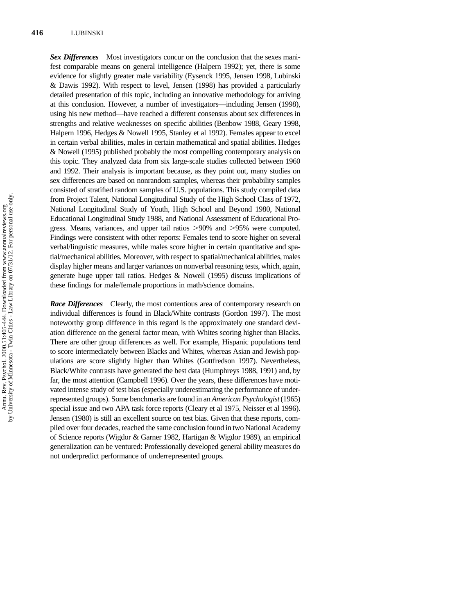*Sex Differences* Most investigators concur on the conclusion that the sexes manifest comparable means on general intelligence (Halpern 1992); yet, there is some evidence for slightly greater male variability (Eysenck 1995, Jensen 1998, Lubinski & Dawis 1992). With respect to level, Jensen (1998) has provided a particularly detailed presentation of this topic, including an innovative methodology for arriving at this conclusion. However, a number of investigators—including Jensen (1998), using his new method—have reached a different consensus about sex differences in strengths and relative weaknesses on specific abilities (Benbow 1988, Geary 1998, Halpern 1996, Hedges & Nowell 1995, Stanley et al 1992). Females appear to excel in certain verbal abilities, males in certain mathematical and spatial abilities. Hedges & Nowell (1995) published probably the most compelling contemporary analysis on this topic. They analyzed data from six large-scale studies collected between 1960 and 1992. Their analysis is important because, as they point out, many studies on sex differences are based on nonrandom samples, whereas their probability samples consisted of stratified random samples of U.S. populations. This study compiled data from Project Talent, National Longitudinal Study of the High School Class of 1972, National Longitudinal Study of Youth, High School and Beyond 1980, National Educational Longitudinal Study 1988, and National Assessment of Educational Progress. Means, variances, and upper tail ratios  $>90\%$  and  $>95\%$  were computed. Findings were consistent with other reports: Females tend to score higher on several verbal/linguistic measures, while males score higher in certain quantitative and spatial/mechanical abilities. Moreover, with respect to spatial/mechanical abilities, males display higher means and larger variances on nonverbal reasoning tests, which, again, generate huge upper tail ratios. Hedges & Nowell (1995) discuss implications of these findings for male/female proportions in math/science domains.

*Race Differences* Clearly, the most contentious area of contemporary research on individual differences is found in Black/White contrasts (Gordon 1997). The most noteworthy group difference in this regard is the approximately one standard deviation difference on the general factor mean, with Whites scoring higher than Blacks. There are other group differences as well. For example, Hispanic populations tend to score intermediately between Blacks and Whites, whereas Asian and Jewish populations are score slightly higher than Whites (Gottfredson 1997). Nevertheless, Black/White contrasts have generated the best data (Humphreys 1988, 1991) and, by far, the most attention (Campbell 1996). Over the years, these differences have motivated intense study of test bias (especially underestimating the performance of underrepresented groups). Some benchmarks are found in an *American Psychologist*(1965) special issue and two APA task force reports (Cleary et al 1975, Neisser et al 1996). Jensen (1980) is still an excellent source on test bias. Given that these reports, compiled over four decades, reached the same conclusion found in two National Academy of Science reports (Wigdor & Garner 1982, Hartigan & Wigdor 1989), an empirical generalization can be ventured: Professionally developed general ability measures do not underpredict performance of underrepresented groups.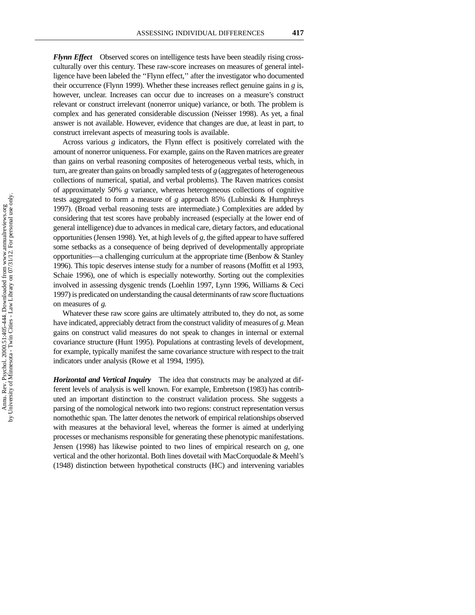*Flynn Effect* Observed scores on intelligence tests have been steadily rising crossculturally over this century. These raw-score increases on measures of general intelligence have been labeled the ''Flynn effect,'' after the investigator who documented their occurrence (Flynn 1999). Whether these increases reflect genuine gains in *g* is, however, unclear. Increases can occur due to increases on a measure's construct relevant or construct irrelevant (nonerror unique) variance, or both. The problem is complex and has generated considerable discussion (Neisser 1998). As yet, a final answer is not available. However, evidence that changes are due, at least in part, to construct irrelevant aspects of measuring tools is available.

Across various *g* indicators, the Flynn effect is positively correlated with the amount of nonerror uniqueness. For example, gains on the Raven matrices are greater than gains on verbal reasoning composites of heterogeneous verbal tests, which, in turn, are greater than gains on broadly sampled tests of *g* (aggregates of heterogeneous collections of numerical, spatial, and verbal problems). The Raven matrices consist of approximately 50% *g* variance, whereas heterogeneous collections of cognitive tests aggregated to form a measure of *g* approach 85% (Lubinski & Humphreys 1997). (Broad verbal reasoning tests are intermediate.) Complexities are added by considering that test scores have probably increased (especially at the lower end of general intelligence) due to advances in medical care, dietary factors, and educational opportunities (Jensen 1998). Yet, at high levels of *g,* the gifted appear to have suffered some setbacks as a consequence of being deprived of developmentally appropriate opportunities—a challenging curriculum at the appropriate time (Benbow & Stanley 1996). This topic deserves intense study for a number of reasons (Moffitt et al 1993, Schaie 1996), one of which is especially noteworthy. Sorting out the complexities involved in assessing dysgenic trends (Loehlin 1997, Lynn 1996, Williams & Ceci 1997) is predicated on understanding the causal determinants of raw score fluctuations on measures of *g.*

Whatever these raw score gains are ultimately attributed to, they do not, as some have indicated, appreciably detract from the construct validity of measures of *g.* Mean gains on construct valid measures do not speak to changes in internal or external covariance structure (Hunt 1995). Populations at contrasting levels of development, for example, typically manifest the same covariance structure with respect to the trait indicators under analysis (Rowe et al 1994, 1995).

*Horizontal and Vertical Inquiry* The idea that constructs may be analyzed at different levels of analysis is well known. For example, Embretson (1983) has contributed an important distinction to the construct validation process. She suggests a parsing of the nomological network into two regions: construct representation versus nomothethic span. The latter denotes the network of empirical relationships observed with measures at the behavioral level, whereas the former is aimed at underlying processes or mechanisms responsible for generating these phenotypic manifestations. Jensen (1998) has likewise pointed to two lines of empirical research on *g,* one vertical and the other horizontal. Both lines dovetail with MacCorquodale & Meehl's (1948) distinction between hypothetical constructs (HC) and intervening variables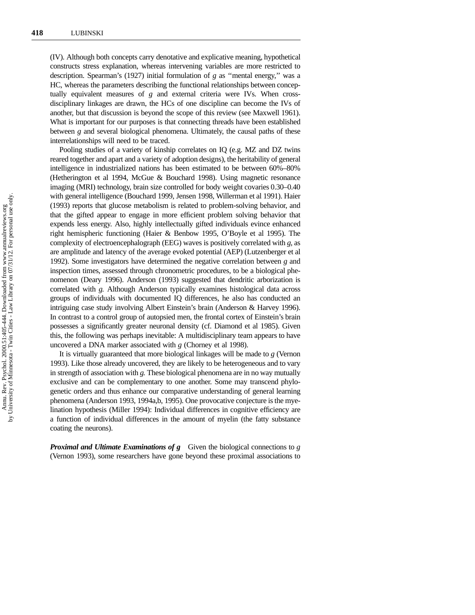(IV). Although both concepts carry denotative and explicative meaning, hypothetical constructs stress explanation, whereas intervening variables are more restricted to description. Spearman's (1927) initial formulation of *g* as ''mental energy,'' was a HC, whereas the parameters describing the functional relationships between conceptually equivalent measures of *g* and external criteria were IVs. When crossdisciplinary linkages are drawn, the HCs of one discipline can become the IVs of another, but that discussion is beyond the scope of this review (see Maxwell 1961). What is important for our purposes is that connecting threads have been established between *g* and several biological phenomena. Ultimately, the causal paths of these interrelationships will need to be traced.

Pooling studies of a variety of kinship correlates on IQ (e.g. MZ and DZ twins reared together and apart and a variety of adoption designs), the heritability of general intelligence in industrialized nations has been estimated to be between 60%–80% (Hetherington et al 1994, McGue & Bouchard 1998). Using magnetic resonance imaging (MRI) technology, brain size controlled for body weight covaries 0.30–0.40 with general intelligence (Bouchard 1999, Jensen 1998, Willerman et al 1991). Haier (1993) reports that glucose metabolism is related to problem-solving behavior, and that the gifted appear to engage in more efficient problem solving behavior that expends less energy. Also, highly intellectually gifted individuals evince enhanced right hemispheric functioning (Haier & Benbow 1995, O'Boyle et al 1995). The complexity of electroencephalograph (EEG) waves is positively correlated with *g,* as are amplitude and latency of the average evoked potential (AEP) (Lutzenberger et al 1992). Some investigators have determined the negative correlation between *g* and inspection times, assessed through chronometric procedures, to be a biological phenomenon (Deary 1996). Anderson (1993) suggested that dendritic arborization is correlated with *g.* Although Anderson typically examines histological data across groups of individuals with documented IQ differences, he also has conducted an intriguing case study involving Albert Einstein's brain (Anderson & Harvey 1996). In contrast to a control group of autopsied men, the frontal cortex of Einstein's brain possesses a significantly greater neuronal density (cf. Diamond et al 1985). Given this, the following was perhaps inevitable: A multidisciplinary team appears to have uncovered a DNA marker associated with *g* (Chorney et al 1998).

It is virtually guaranteed that more biological linkages will be made to *g* (Vernon 1993). Like those already uncovered, they are likely to be heterogeneous and to vary in strength of association with *g.* These biological phenomena are in no way mutually exclusive and can be complementary to one another. Some may transcend phylogenetic orders and thus enhance our comparative understanding of general learning phenomena (Anderson 1993, 1994a,b, 1995). One provocative conjecture is the myelination hypothesis (Miller 1994): Individual differences in cognitive efficiency are a function of individual differences in the amount of myelin (the fatty substance coating the neurons).

*Proximal and Ultimate Examinations of g* Given the biological connections to *g* (Vernon 1993), some researchers have gone beyond these proximal associations to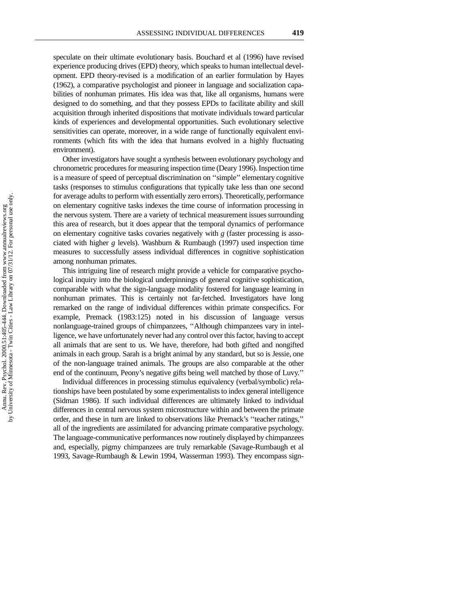speculate on their ultimate evolutionary basis. Bouchard et al (1996) have revised experience producing drives (EPD) theory, which speaks to human intellectual development. EPD theory-revised is a modification of an earlier formulation by Hayes (1962), a comparative psychologist and pioneer in language and socialization capabilities of nonhuman primates. His idea was that, like all organisms, humans were designed to do something, and that they possess EPDs to facilitate ability and skill acquisition through inherited dispositions that motivate individuals toward particular kinds of experiences and developmental opportunities. Such evolutionary selective sensitivities can operate, moreover, in a wide range of functionally equivalent environments (which fits with the idea that humans evolved in a highly fluctuating environment).

Other investigators have sought a synthesis between evolutionary psychology and chronometric procedures for measuring inspection time (Deary 1996). Inspection time is a measure of speed of perceptual discrimination on ''simple'' elementary cognitive tasks (responses to stimulus configurations that typically take less than one second for average adults to perform with essentially zero errors). Theoretically, performance on elementary cognitive tasks indexes the time course of information processing in the nervous system. There are a variety of technical measurement issues surrounding this area of research, but it does appear that the temporal dynamics of performance on elementary cognitive tasks covaries negatively with *g* (faster processing is associated with higher *g* levels). Washburn & Rumbaugh (1997) used inspection time measures to successfully assess individual differences in cognitive sophistication among nonhuman primates.

This intriguing line of research might provide a vehicle for comparative psychological inquiry into the biological underpinnings of general cognitive sophistication, comparable with what the sign-language modality fostered for language learning in nonhuman primates. This is certainly not far-fetched. Investigators have long remarked on the range of individual differences within primate conspecifics. For example, Premack (1983:125) noted in his discussion of language versus nonlanguage-trained groups of chimpanzees, ''Although chimpanzees vary in intelligence, we have unfortunately never had any control over this factor, having to accept all animals that are sent to us. We have, therefore, had both gifted and nongifted animals in each group. Sarah is a bright animal by any standard, but so is Jessie, one of the non-language trained animals. The groups are also comparable at the other end of the continuum, Peony's negative gifts being well matched by those of Luvy.''

Individual differences in processing stimulus equivalency (verbal/symbolic) relationships have been postulated by some experimentalists to index general intelligence (Sidman 1986). If such individual differences are ultimately linked to individual differences in central nervous system microstructure within and between the primate order, and these in turn are linked to observations like Premack's ''teacher ratings,'' all of the ingredients are assimilated for advancing primate comparative psychology. The language-communicative performances now routinely displayed by chimpanzees and, especially, pigmy chimpanzees are truly remarkable (Savage-Rumbaugh et al 1993, Savage-Rumbaugh & Lewin 1994, Wasserman 1993). They encompass sign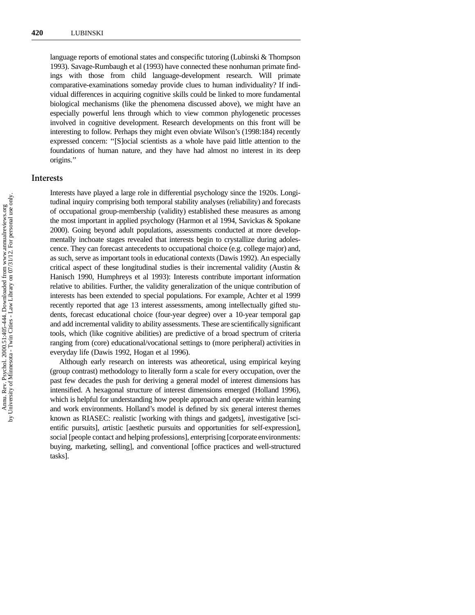language reports of emotional states and conspecific tutoring (Lubinski & Thompson 1993). Savage-Rumbaugh et al (1993) have connected these nonhuman primate findings with those from child language-development research. Will primate comparative-examinations someday provide clues to human individuality? If individual differences in acquiring cognitive skills could be linked to more fundamental biological mechanisms (like the phenomena discussed above), we might have an especially powerful lens through which to view common phylogenetic processes involved in cognitive development. Research developments on this front will be interesting to follow. Perhaps they might even obviate Wilson's (1998:184) recently expressed concern: ''[S]ocial scientists as a whole have paid little attention to the foundations of human nature, and they have had almost no interest in its deep origins.''

#### **Interests**

Interests have played a large role in differential psychology since the 1920s. Longitudinal inquiry comprising both temporal stability analyses (reliability) and forecasts of occupational group-membership (validity) established these measures as among the most important in applied psychology (Harmon et al 1994, Savickas & Spokane 2000). Going beyond adult populations, assessments conducted at more developmentally inchoate stages revealed that interests begin to crystallize during adolescence. They can forecast antecedents to occupational choice (e.g. college major) and, as such, serve as important tools in educational contexts (Dawis 1992). An especially critical aspect of these longitudinal studies is their incremental validity (Austin & Hanisch 1990, Humphreys et al 1993): Interests contribute important information relative to abilities. Further, the validity generalization of the unique contribution of interests has been extended to special populations. For example, Achter et al 1999 recently reported that age 13 interest assessments, among intellectually gifted students, forecast educational choice (four-year degree) over a 10-year temporal gap and add incremental validity to ability assessments. These are scientifically significant tools, which (like cognitive abilities) are predictive of a broad spectrum of criteria ranging from (core) educational/vocational settings to (more peripheral) activities in everyday life (Dawis 1992, Hogan et al 1996).

Although early research on interests was atheoretical, using empirical keying (group contrast) methodology to literally form a scale for every occupation, over the past few decades the push for deriving a general model of interest dimensions has intensified. A hexagonal structure of interest dimensions emerged (Holland 1996), which is helpful for understanding how people approach and operate within learning and work environments. Holland's model is defined by six general interest themes known as RIASEC: *r*ealistic [working with things and gadgets], *i*nvestigative [scientific pursuits], *a*rtistic [aesthetic pursuits and opportunities for self-expression], *s*ocial [people contact and helping professions], *e*nterprising [corporate environments: buying, marketing, selling], and *c*onventional [office practices and well-structured tasks].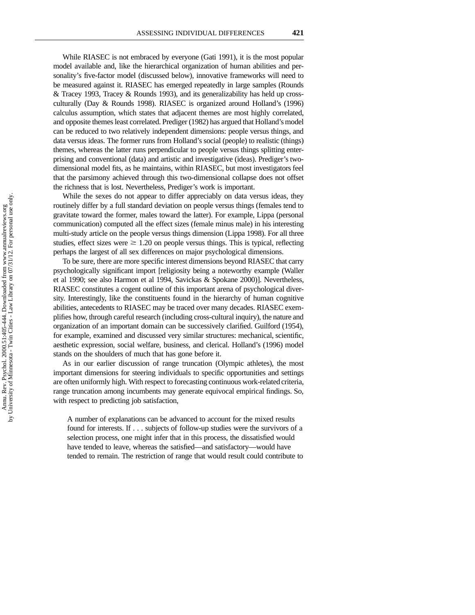While RIASEC is not embraced by everyone (Gati 1991), it is the most popular model available and, like the hierarchical organization of human abilities and personality's five-factor model (discussed below), innovative frameworks will need to be measured against it. RIASEC has emerged repeatedly in large samples (Rounds & Tracey 1993, Tracey & Rounds 1993), and its generalizability has held up crossculturally (Day & Rounds 1998). RIASEC is organized around Holland's (1996) calculus assumption, which states that adjacent themes are most highly correlated, and opposite themes least correlated. Prediger (1982) has argued that Holland's model can be reduced to two relatively independent dimensions: people versus things, and data versus ideas. The former runs from Holland's social (people) to realistic (things) themes, whereas the latter runs perpendicular to people versus things splitting enterprising and conventional (data) and artistic and investigative (ideas). Prediger's twodimensional model fits, as he maintains, within RIASEC, but most investigators feel that the parsimony achieved through this two-dimensional collapse does not offset the richness that is lost. Nevertheless, Prediger's work is important.

While the sexes do not appear to differ appreciably on data versus ideas, they routinely differ by a full standard deviation on people versus things (females tend to gravitate toward the former, males toward the latter). For example, Lippa (personal communication) computed all the effect sizes (female minus male) in his interesting multi-study article on the people versus things dimension (Lippa 1998). For all three studies, effect sizes were  $\geq 1.20$  on people versus things. This is typical, reflecting perhaps the largest of all sex differences on major psychological dimensions.

To be sure, there are more specific interest dimensions beyond RIASEC that carry psychologically significant import [religiosity being a noteworthy example (Waller et al 1990; see also Harmon et al 1994, Savickas & Spokane 2000)]. Nevertheless, RIASEC constitutes a cogent outline of this important arena of psychological diversity. Interestingly, like the constituents found in the hierarchy of human cognitive abilities, antecedents to RIASEC may be traced over many decades. RIASEC exemplifies how, through careful research (including cross-cultural inquiry), the nature and organization of an important domain can be successively clarified. Guilford (1954), for example, examined and discussed very similar structures: mechanical, scientific, aesthetic expression, social welfare, business, and clerical. Holland's (1996) model stands on the shoulders of much that has gone before it.

As in our earlier discussion of range truncation (Olympic athletes), the most important dimensions for steering individuals to specific opportunities and settings are often uniformly high. With respect to forecasting continuous work-related criteria, range truncation among incumbents may generate equivocal empirical findings. So, with respect to predicting job satisfaction,

A number of explanations can be advanced to account for the mixed results found for interests. If . . . subjects of follow-up studies were the survivors of a selection process, one might infer that in this process, the dissatisfied would have tended to leave, whereas the satisfied—and satisfactory—would have tended to remain. The restriction of range that would result could contribute to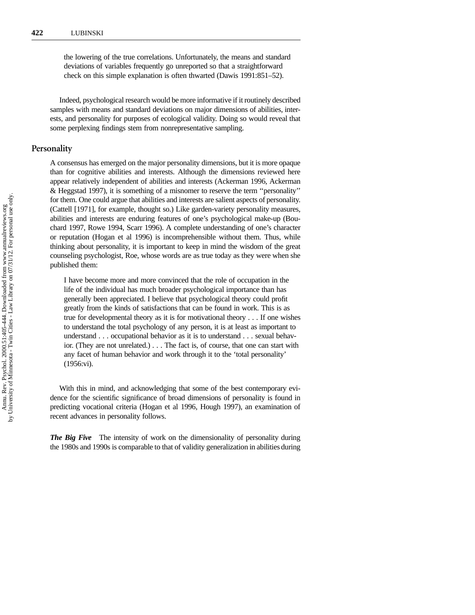the lowering of the true correlations. Unfortunately, the means and standard deviations of variables frequently go unreported so that a straightforward check on this simple explanation is often thwarted (Dawis 1991:851–52).

Indeed, psychological research would be more informative if it routinely described samples with means and standard deviations on major dimensions of abilities, interests, and personality for purposes of ecological validity. Doing so would reveal that some perplexing findings stem from nonrepresentative sampling.

#### **Personality**

A consensus has emerged on the major personality dimensions, but it is more opaque than for cognitive abilities and interests. Although the dimensions reviewed here appear relatively independent of abilities and interests (Ackerman 1996, Ackerman & Heggstad 1997), it is something of a misnomer to reserve the term ''personality'' for them. One could argue that abilities and interests are salient aspects of personality. (Cattell [1971], for example, thought so.) Like garden-variety personality measures, abilities and interests are enduring features of one's psychological make-up (Bouchard 1997, Rowe 1994, Scarr 1996). A complete understanding of one's character or reputation (Hogan et al 1996) is incomprehensible without them. Thus, while thinking about personality, it is important to keep in mind the wisdom of the great counseling psychologist, Roe, whose words are as true today as they were when she published them:

I have become more and more convinced that the role of occupation in the life of the individual has much broader psychological importance than has generally been appreciated. I believe that psychological theory could profit greatly from the kinds of satisfactions that can be found in work. This is as true for developmental theory as it is for motivational theory . . . If one wishes to understand the total psychology of any person, it is at least as important to understand . . . occupational behavior as it is to understand . . . sexual behavior. (They are not unrelated.) . . . The fact is, of course, that one can start with any facet of human behavior and work through it to the 'total personality' (1956:vi).

With this in mind, and acknowledging that some of the best contemporary evidence for the scientific significance of broad dimensions of personality is found in predicting vocational criteria (Hogan et al 1996, Hough 1997), an examination of recent advances in personality follows.

*The Big Five* The intensity of work on the dimensionality of personality during the 1980s and 1990s is comparable to that of validity generalization in abilities during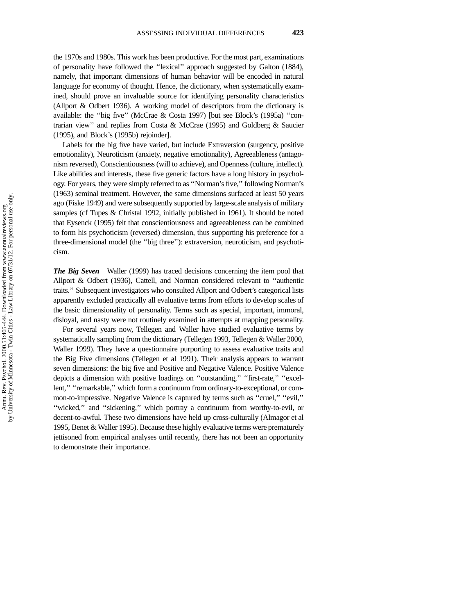the 1970s and 1980s. This work has been productive. For the most part, examinations of personality have followed the ''lexical'' approach suggested by Galton (1884), namely, that important dimensions of human behavior will be encoded in natural language for economy of thought. Hence, the dictionary, when systematically examined, should prove an invaluable source for identifying personality characteristics (Allport & Odbert 1936). A working model of descriptors from the dictionary is available: the ''big five'' (McCrae & Costa 1997) [but see Block's (1995a) ''contrarian view'' and replies from Costa & McCrae (1995) and Goldberg & Saucier (1995), and Block's (1995b) rejoinder].

Labels for the big five have varied, but include Extraversion (surgency, positive emotionality), Neuroticism (anxiety, negative emotionality), Agreeableness (antagonism reversed), Conscientiousness (will to achieve), and Openness (culture, intellect). Like abilities and interests, these five generic factors have a long history in psychology. For years, they were simply referred to as ''Norman's five,'' following Norman's (1963) seminal treatment. However, the same dimensions surfaced at least 50 years ago (Fiske 1949) and were subsequently supported by large-scale analysis of military samples (cf Tupes & Christal 1992, initially published in 1961). It should be noted that Eysenck (1995) felt that conscientiousness and agreeableness can be combined to form his psychoticism (reversed) dimension, thus supporting his preference for a three-dimensional model (the ''big three''): extraversion, neuroticism, and psychoticism.

*The Big Seven* Waller (1999) has traced decisions concerning the item pool that Allport & Odbert (1936), Cattell, and Norman considered relevant to ''authentic traits.'' Subsequent investigators who consulted Allport and Odbert's categorical lists apparently excluded practically all evaluative terms from efforts to develop scales of the basic dimensionality of personality. Terms such as special, important, immoral, disloyal, and nasty were not routinely examined in attempts at mapping personality.

For several years now, Tellegen and Waller have studied evaluative terms by systematically sampling from the dictionary (Tellegen 1993, Tellegen & Waller 2000, Waller 1999). They have a questionnaire purporting to assess evaluative traits and the Big Five dimensions (Tellegen et al 1991). Their analysis appears to warrant seven dimensions: the big five and Positive and Negative Valence. Positive Valence depicts a dimension with positive loadings on ''outstanding,'' ''first-rate,'' ''excellent," "remarkable," which form a continuum from ordinary-to-exceptional, or common-to-impressive. Negative Valence is captured by terms such as "cruel," "evil," ''wicked,'' and ''sickening,'' which portray a continuum from worthy-to-evil, or decent-to-awful. These two dimensions have held up cross-culturally (Almagor et al 1995, Benet & Waller 1995). Because these highly evaluative terms were prematurely jettisoned from empirical analyses until recently, there has not been an opportunity to demonstrate their importance.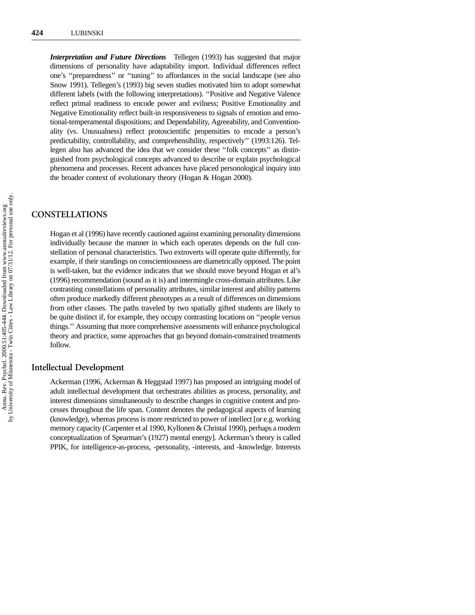*Interpretation and Future Directions* Tellegen (1993) has suggested that major dimensions of personality have adaptability import. Individual differences reflect one's ''preparedness'' or ''tuning'' to affordances in the social landscape (see also Snow 1991). Tellegen's (1993) big seven studies motivated him to adopt somewhat different labels (with the following interpretations). ''Positive and Negative Valence reflect primal readiness to encode power and evilness; Positive Emotionality and Negative Emotionality reflect built-in responsiveness to signals of emotion and emotional-temperamental dispositions; and Dependability, Agreeability, and Conventionality (vs. Unusualness) reflect protoscientific propensities to encode a person's predictability, controllability, and comprehensibility, respectively'' (1993:126). Tellegen also has advanced the idea that we consider these ''folk concepts'' as distinguished from psychological concepts advanced to describe or explain psychological phenomena and processes. Recent advances have placed personological inquiry into the broader context of evolutionary theory (Hogan & Hogan 2000).

#### **CONSTELLATIONS**

Hogan et al (1996) have recently cautioned against examining personality dimensions individually because the manner in which each operates depends on the full constellation of personal characteristics. Two extroverts will operate quite differently, for example, if their standings on conscientiousness are diametrically opposed. The point is well-taken, but the evidence indicates that we should move beyond Hogan et al's (1996) recommendation (sound as it is) and intermingle cross-domain attributes. Like contrasting constellations of personality attributes, similar interest and ability patterns often produce markedly different phenotypes as a result of differences on dimensions from other classes. The paths traveled by two spatially gifted students are likely to be quite distinct if, for example, they occupy contrasting locations on ''people versus things.'' Assuming that more comprehensive assessments will enhance psychological theory and practice, some approaches that go beyond domain-constrained treatments follow.

# **Intellectual Development**

Ackerman (1996, Ackerman & Heggstad 1997) has proposed an intriguing model of adult intellectual development that orchestrates abilities as process, personality, and interest dimensions simultaneously to describe changes in cognitive content and processes throughout the life span. Content denotes the pedagogical aspects of learning (knowledge), whereas process is more restricted to power of intellect [or e.g. working memory capacity (Carpenter et al 1990, Kyllonen & Christal 1990), perhaps a modern conceptualization of Spearman's (1927) mental energy]. Ackerman's theory is called PPIK, for intelligence-as-process, -personality, -interests, and -knowledge. Interests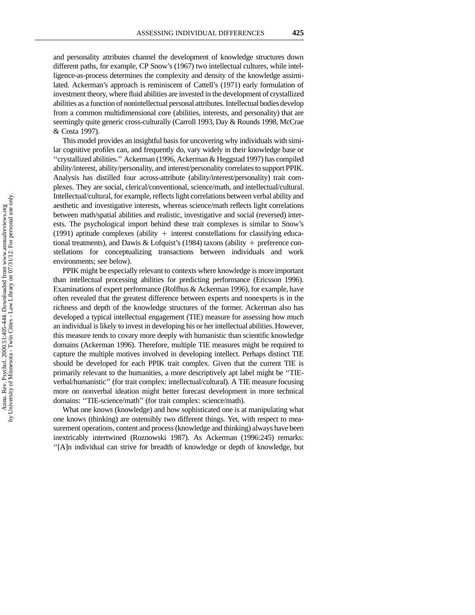and personality attributes channel the development of knowledge structures down different paths, for example, CP Snow's (1967) two intellectual cultures, while intelligence-as-process determines the complexity and density of the knowledge assimilated. Ackerman's approach is reminiscent of Cattell's (1971) early formulation of investment theory, where fluid abilities are invested in the development of crystallized abilities as a function of nonintellectual personal attributes. Intellectual bodies develop from a common multidimensional core (abilities, interests, and personality) that are seemingly quite generic cross-culturally (Carroll 1993, Day & Rounds 1998, McCrae & Costa 1997).

This model provides an insightful basis for uncovering why individuals with similar cognitive profiles can, and frequently do, vary widely in their knowledge base or ''crystallized abilities.'' Ackerman (1996, Ackerman & Heggstad 1997) has compiled ability/interest, ability/personality, and interest/personality correlates to support PPIK. Analysis has distilled four across-attribute (ability/interest/personality) trait complexes. They are social, clerical/conventional, science/math, and intellectual/cultural. Intellectual/cultural, for example, reflects light correlations between verbal ability and aesthetic and investigative interests, whereas science/math reflects light correlations between math/spatial abilities and realistic, investigative and social (reversed) interests. The psychological import behind these trait complexes is similar to Snow's  $(1991)$  aptitude complexes (ability  $+$  interest constellations for classifying educational treatments), and Dawis & Lofquist's (1984) taxons (ability  $+$  preference constellations for conceptualizing transactions between individuals and work environments; see below).

PPIK might be especially relevant to contexts where knowledge is more important than intellectual processing abilities for predicting performance (Ericsson 1996). Examinations of expert performance (Rolfhus & Ackerman 1996), for example, have often revealed that the greatest difference between experts and nonexperts is in the richness and depth of the knowledge structures of the former. Ackerman also has developed a typical intellectual engagement (TIE) measure for assessing how much an individual is likely to invest in developing his or her intellectual abilities. However, this measure tends to covary more deeply with humanistic than scientific knowledge domains (Ackerman 1996). Therefore, multiple TIE measures might be required to capture the multiple motives involved in developing intellect. Perhaps distinct TIE should be developed for each PPIK trait complex. Given that the current TIE is primarily relevant to the humanities, a more descriptively apt label might be ''TIEverbal/humanistic'' (for trait complex: intellectual/cultural). A TIE measure focusing more on nonverbal ideation might better forecast development in more technical domains: ''TIE-science/math'' (for trait complex: science/math).

What one knows (knowledge) and how sophisticated one is at manipulating what one knows (thinking) are ostensibly two different things. Yet, with respect to measurement operations, content and process (knowledge and thinking) always have been inextricably intertwined (Roznowski 1987). As Ackerman (1996:245) remarks: ''[A]n individual can strive for breadth of knowledge or depth of knowledge, but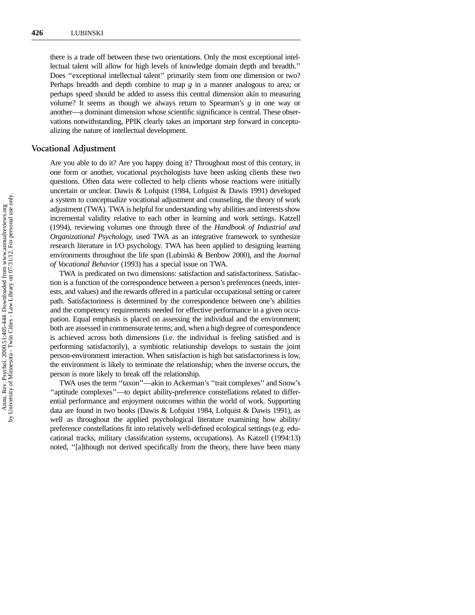there is a trade off between these two orientations. Only the most exceptional intellectual talent will allow for high levels of knowledge domain depth and breadth.'' Does ''exceptional intellectual talent'' primarily stem from one dimension or two? Perhaps breadth and depth combine to map *g* in a manner analogous to area; or perhaps speed should be added to assess this central dimension akin to measuring volume? It seems as though we always return to Spearman's *g* in one way or another—a dominant dimension whose scientific significance is central. These observations notwithstanding, PPIK clearly takes an important step forward in conceptualizing the nature of intellectual development.

#### **Vocational Adjustment**

Are you able to do it? Are you happy doing it? Throughout most of this century, in one form or another, vocational psychologists have been asking clients these two questions. Often data were collected to help clients whose reactions were initially uncertain or unclear. Dawis & Lofquist (1984, Lofquist & Dawis 1991) developed a system to conceptualize vocational adjustment and counseling, the theory of work adjustment (TWA). TWA is helpful for understanding why abilities and interests show incremental validity relative to each other in learning and work settings. Katzell (1994), reviewing volumes one through three of the *Handbook of Industrial and Organizational Psychology,* used TWA as an integrative framework to synthesize research literature in I/O psychology. TWA has been applied to designing learning environments throughout the life span (Lubinski & Benbow 2000), and the *Journal of Vocational Behavior* (1993) has a special issue on TWA.

TWA is predicated on two dimensions: satisfaction and satisfactoriness. Satisfaction is a function of the correspondence between a person's preferences (needs, interests, and values) and the rewards offered in a particular occupational setting or career path. Satisfactoriness is determined by the correspondence between one's abilities and the competency requirements needed for effective performance in a given occupation. Equal emphasis is placed on assessing the individual and the environment; both are assessed in commensurate terms; and, when a high degree of correspondence is achieved across both dimensions (i.e. the individual is feeling satisfied and is performing satisfactorily), a symbiotic relationship develops to sustain the joint person-environment interaction. When satisfaction is high but satisfactoriness is low, the environment is likely to terminate the relationship; when the inverse occurs, the person is more likely to break off the relationship.

TWA uses the term ''taxon''—akin to Ackerman's ''trait complexes'' and Snow's ''aptitude complexes''—to depict ability-preference constellations related to differential performance and enjoyment outcomes within the world of work. Supporting data are found in two books (Dawis & Lofquist 1984, Lofquist & Dawis 1991), as well as throughout the applied psychological literature examining how ability/ preference constellations fit into relatively well-defined ecological settings (e.g. educational tracks, military classification systems, occupations). As Katzell (1994:13) noted, ''[a]though not derived specifically from the theory, there have been many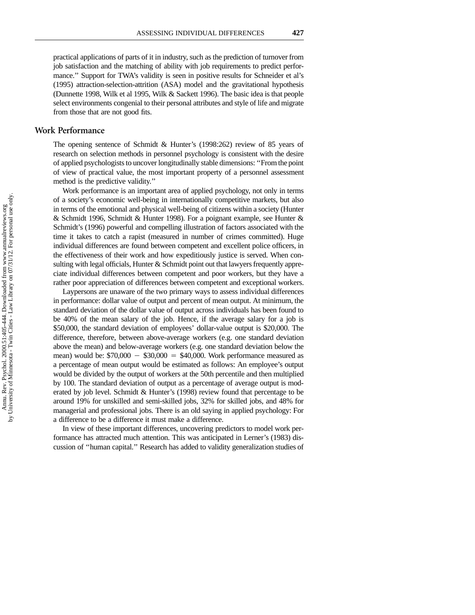practical applications of parts of it in industry, such as the prediction of turnover from job satisfaction and the matching of ability with job requirements to predict performance.'' Support for TWA's validity is seen in positive results for Schneider et al's (1995) attraction-selection-attrition (ASA) model and the gravitational hypothesis (Dunnette 1998, Wilk et al 1995, Wilk & Sackett 1996). The basic idea is that people select environments congenial to their personal attributes and style of life and migrate from those that are not good fits.

#### **Work Performance**

The opening sentence of Schmidt & Hunter's (1998:262) review of 85 years of research on selection methods in personnel psychology is consistent with the desire of applied psychologists to uncover longitudinally stable dimensions: ''From the point of view of practical value, the most important property of a personnel assessment method is the predictive validity.''

Work performance is an important area of applied psychology, not only in terms of a society's economic well-being in internationally competitive markets, but also in terms of the emotional and physical well-being of citizens within a society (Hunter & Schmidt 1996, Schmidt & Hunter 1998). For a poignant example, see Hunter & Schmidt's (1996) powerful and compelling illustration of factors associated with the time it takes to catch a rapist (measured in number of crimes committed). Huge individual differences are found between competent and excellent police officers, in the effectiveness of their work and how expeditiously justice is served. When consulting with legal officials, Hunter & Schmidt point out that lawyers frequently appreciate individual differences between competent and poor workers, but they have a rather poor appreciation of differences between competent and exceptional workers.

Laypersons are unaware of the two primary ways to assess individual differences in performance: dollar value of output and percent of mean output. At minimum, the standard deviation of the dollar value of output across individuals has been found to be 40% of the mean salary of the job. Hence, if the average salary for a job is \$50,000, the standard deviation of employees' dollar-value output is \$20,000. The difference, therefore, between above*-*average workers (e.g. one standard deviation above the mean) and below-average workers (e.g. one standard deviation below the mean) would be:  $$70,000 - $30,000 = $40,000$ . Work performance measured as a percentage of mean output would be estimated as follows: An employee's output would be divided by the output of workers at the 50th percentile and then multiplied by 100. The standard deviation of output as a percentage of average output is moderated by job level. Schmidt & Hunter's (1998) review found that percentage to be around 19% for unskilled and semi-skilled jobs, 32% for skilled jobs, and 48% for managerial and professional jobs. There is an old saying in applied psychology: For a difference to be a difference it must make a difference.

In view of these important differences, uncovering predictors to model work performance has attracted much attention. This was anticipated in Lerner's (1983) discussion of ''human capital.'' Research has added to validity generalization studies of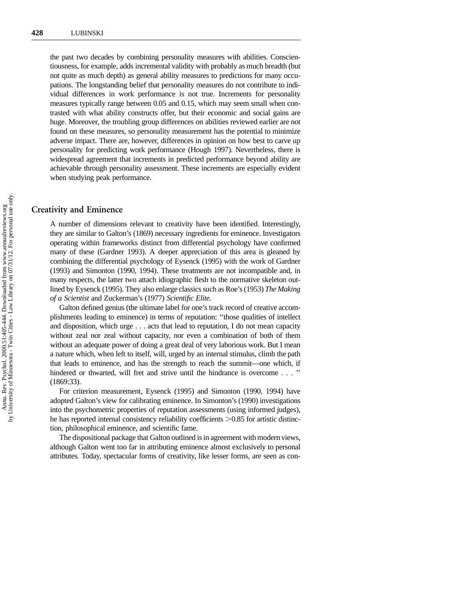the past two decades by combining personality measures with abilities. Conscientiousness, for example, adds incremental validity with probably as much breadth (but not quite as much depth) as general ability measures to predictions for many occupations. The longstanding belief that personality measures do not contribute to individual differences in work performance is not true. Increments for personality measures typically range between 0.05 and 0.15, which may seem small when contrasted with what ability constructs offer, but their economic and social gains are huge. Moreover, the troubling group differences on abilities reviewed earlier are not found on these measures, so personality measurement has the potential to minimize adverse impact. There are, however, differences in opinion on how best to carve up personality for predicting work performance (Hough 1997). Nevertheless, there is widespread agreement that increments in predicted performance beyond ability are achievable through personality assessment. These increments are especially evident when studying peak performance.

#### **Creativity and Eminence**

A number of dimensions relevant to creativity have been identified. Interestingly, they are similar to Galton's (1869) necessary ingredients for eminence. Investigators operating within frameworks distinct from differential psychology have confirmed many of these (Gardner 1993). A deeper appreciation of this area is gleaned by combining the differential psychology of Eysenck (1995) with the work of Gardner (1993) and Simonton (1990, 1994). These treatments are not incompatible and, in many respects, the latter two attach idiographic flesh to the normative skeleton outlined by Eysenck (1995). They also enlarge classics such as Roe's (1953) *The Making of a Scientist* and Zuckerman's (1977) *Scientific Elite.*

Galton defined genius (the ultimate label for one's track record of creative accomplishments leading to eminence) in terms of reputation: ''those qualities of intellect and disposition, which urge . . . acts that lead to reputation, I do not mean capacity without zeal nor zeal without capacity, nor even a combination of both of them without an adequate power of doing a great deal of very laborious work. But I mean a nature which, when left to itself, will, urged by an internal stimulus, climb the path that leads to eminence, and has the strength to reach the summit—one which, if hindered or thwarted, will fret and strive until the hindrance is overcome . . . " (1869:33).

For criterion measurement, Eysenck (1995) and Simonton (1990, 1994) have adopted Galton's view for calibrating eminence. In Simonton's (1990) investigations into the psychometric properties of reputation assessments (using informed judges), he has reported internal consistency reliability coefficients  $>0.85$  for artistic distinction, philosophical eminence, and scientific fame.

The dispositional package that Galton outlined is in agreement with modern views, although Galton went too far in attributing eminence almost exclusively to personal attributes. Today, spectacular forms of creativity, like lesser forms, are seen as con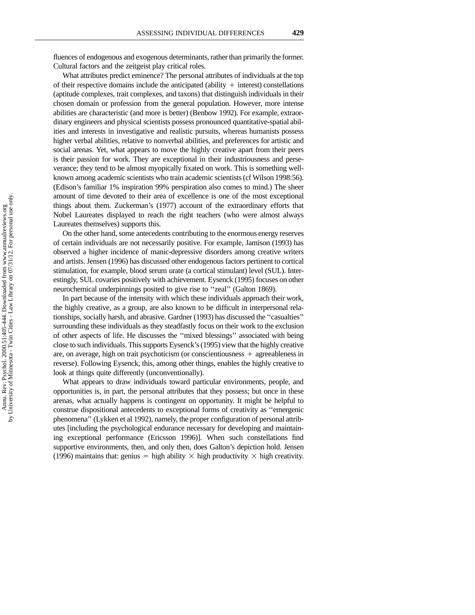fluences of endogenous and exogenous determinants, rather than primarily the former. Cultural factors and the zeitgeist play critical roles.

What attributes predict eminence? The personal attributes of individuals at the top of their respective domains include the anticipated (ability  $+$  interest) constellations (aptitude complexes, trait complexes, and taxons) that distinguish individuals in their chosen domain or profession from the general population. However, more intense abilities are characteristic (and more is better) (Benbow 1992). For example, extraordinary engineers and physical scientists possess pronounced quantitative-spatial abilities and interests in investigative and realistic pursuits, whereas humanists possess higher verbal abilities, relative to nonverbal abilities, and preferences for artistic and social arenas. Yet, what appears to move the highly creative apart from their peers is their passion for work. They are exceptional in their industriousness and perseverance; they tend to be almost myopically fixated on work. This is something wellknown among academic scientists who train academic scientists (cf Wilson 1998:56). (Edison's familiar 1% inspiration 99% perspiration also comes to mind.) The sheer amount of time devoted to their area of excellence is one of the most exceptional things about them. Zuckerman's (1977) account of the extraordinary efforts that Nobel Laureates displayed to reach the right teachers (who were almost always Laureates themselves) supports this.

On the other hand, some antecedents contributing to the enormous energy reserves of certain individuals are not necessarily positive. For example, Jamison (1993) has observed a higher incidence of manic-depressive disorders among creative writers and artists. Jensen (1996) has discussed other endogenous factors pertinent to cortical stimulation, for example, blood serum urate (a cortical stimulant) level (SUL). Interestingly, SUL covaries positively with achievement. Eysenck (1995) focuses on other neurochemical underpinnings posited to give rise to ''zeal'' (Galton 1869).

In part because of the intensity with which these individuals approach their work, the highly creative, as a group, are also known to be difficult in interpersonal relationships, socially harsh, and abrasive. Gardner (1993) has discussed the ''casualties'' surrounding these individuals as they steadfastly focus on their work to the exclusion of other aspects of life. He discusses the ''mixed blessings'' associated with being close to such individuals. This supports Eysenck's (1995) view that the highly creative are, on average, high on trait psychoticism (or conscientiousness  $+$  agreeableness in reverse). Following Eysenck, this, among other things, enables the highly creative to look at things quite differently (unconventionally).

What appears to draw individuals toward particular environments, people, and opportunities is, in part, the personal attributes that they possess; but once in these arenas, what actually happens is contingent on opportunity. It might be helpful to construe dispositional antecedents to exceptional forms of creativity as ''emergenic phenomena'' (Lykken et al 1992), namely, the proper configuration of personal attributes [including the psychological endurance necessary for developing and maintaining exceptional performance (Ericsson 1996)]. When such constellations find supportive environments, then, and only then, does Galton's depiction hold. Jensen (1996) maintains that: genius = high ability  $\times$  high productivity  $\times$  high creativity.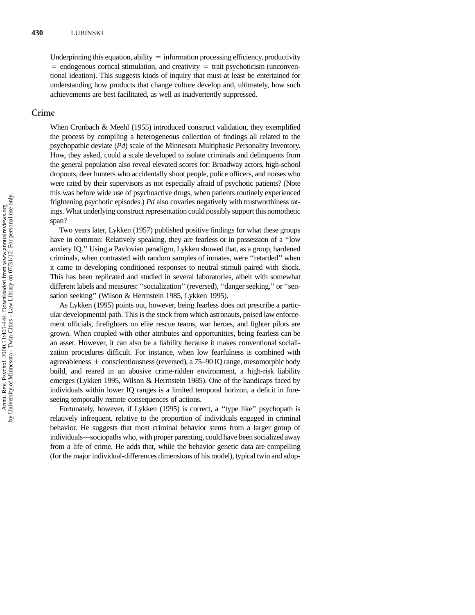Underpinning this equation, ability  $=$  information processing efficiency, productivity  $=$  endogenous cortical stimulation, and creativity  $=$  trait psychoticism (unconventional ideation). This suggests kinds of inquiry that must at least be entertained for understanding how products that change culture develop and, ultimately, how such achievements are best facilitated, as well as inadvertently suppressed.

#### **Crime**

When Cronbach & Meehl (1955) introduced construct validation, they exemplified the process by compiling a heterogeneous collection of findings all related to the psychopathic deviate (*Pd*) scale of the Minnesota Multiphasic Personality Inventory. How, they asked, could a scale developed to isolate criminals and delinquents from the general population also reveal elevated scores for: Broadway actors, high-school dropouts, deer hunters who accidentally shoot people, police officers, and nurses who were rated by their supervisors as not especially afraid of psychotic patients? (Note this was before wide use of psychoactive drugs, when patients routinely experienced frightening psychotic episodes.) *Pd* also covaries negatively with trustworthiness ratings. What underlying construct representation could possibly support this nomothetic span?

Two years later, Lykken (1957) published positive findings for what these groups have in common: Relatively speaking, they are fearless or in possession of a ''low anxiety IQ.'' Using a Pavlovian paradigm, Lykken showed that, as a group, hardened criminals, when contrasted with random samples of inmates, were ''retarded'' when it came to developing conditioned responses to neutral stimuli paired with shock. This has been replicated and studied in several laboratories, albeit with somewhat different labels and measures: ''socialization'' (reversed), ''danger seeking,'' or ''sensation seeking'' (Wilson & Herrnstein 1985, Lykken 1995).

As Lykken (1995) points out, however, being fearless does not prescribe a particular developmental path. This is the stock from which astronauts, poised law enforcement officials, firefighters on elite rescue teams, war heroes, and fighter pilots are grown. When coupled with other attributes and opportunities, being fearless can be an asset. However, it can also be a liability because it makes conventional socialization procedures difficult. For instance, when low fearfulness is combined with agreeableness  $+$  conscientiousness (reversed), a 75–90 IQ range, mesomorphic body build, and reared in an abusive crime-ridden environment, a high-risk liability emerges (Lykken 1995, Wilson & Herrnstein 1985). One of the handicaps faced by individuals within lower IQ ranges is a limited temporal horizon, a deficit in foreseeing temporally remote consequences of actions.

Fortunately, however, if Lykken (1995) is correct, a ''type like'' psychopath is relatively infrequent, relative to the proportion of individuals engaged in criminal behavior. He suggests that most criminal behavior stems from a larger group of individuals—sociopaths who, with proper parenting, could have been socialized away from a life of crime. He adds that, while the behavior genetic data are compelling (for the major individual-differences dimensions of his model), typical twin and adop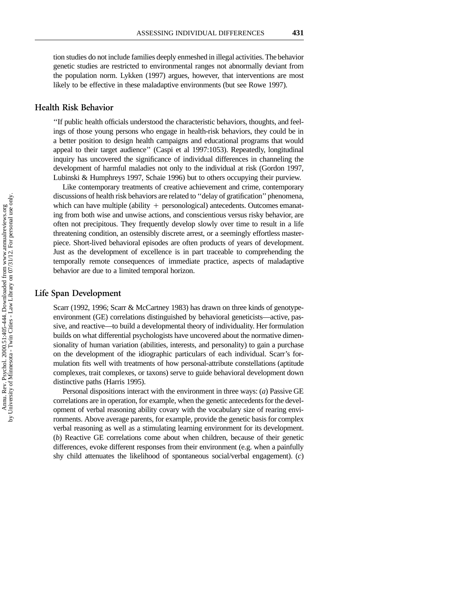tion studies do not include families deeply enmeshed in illegal activities. The behavior genetic studies are restricted to environmental ranges not abnormally deviant from the population norm. Lykken (1997) argues, however, that interventions are most likely to be effective in these maladaptive environments (but see Rowe 1997).

## **Health Risk Behavior**

''If public health officials understood the characteristic behaviors, thoughts, and feelings of those young persons who engage in health-risk behaviors, they could be in a better position to design health campaigns and educational programs that would appeal to their target audience'' (Caspi et al 1997:1053). Repeatedly, longitudinal inquiry has uncovered the significance of individual differences in channeling the development of harmful maladies not only to the individual at risk (Gordon 1997, Lubinski & Humphreys 1997, Schaie 1996) but to others occupying their purview.

Like contemporary treatments of creative achievement and crime, contemporary discussions of health risk behaviors are related to ''delay of gratification'' phenomena, which can have multiple (ability  $+$  personological) antecedents. Outcomes emanating from both wise and unwise actions, and conscientious versus risky behavior, are often not precipitous. They frequently develop slowly over time to result in a life threatening condition, an ostensibly discrete arrest, or a seemingly effortless masterpiece. Short-lived behavioral episodes are often products of years of development. Just as the development of excellence is in part traceable to comprehending the temporally remote consequences of immediate practice, aspects of maladaptive behavior are due to a limited temporal horizon.

#### **Life Span Development**

Scarr (1992, 1996; Scarr & McCartney 1983) has drawn on three kinds of genotypeenvironment (GE) correlations distinguished by behavioral geneticists—active, passive, and reactive—to build a developmental theory of individuality. Her formulation builds on what differential psychologists have uncovered about the normative dimensionality of human variation (abilities, interests, and personality) to gain a purchase on the development of the idiographic particulars of each individual. Scarr's formulation fits well with treatments of how personal-attribute constellations (aptitude complexes, trait complexes, or taxons) serve to guide behavioral development down distinctive paths (Harris 1995).

Personal dispositions interact with the environment in three ways: (*a*) Passive GE correlations are in operation, for example, when the genetic antecedents for the development of verbal reasoning ability covary with the vocabulary size of rearing environments. Above average parents, for example, provide the genetic basis for complex verbal reasoning as well as a stimulating learning environment for its development. (*b*) Reactive GE correlations come about when children, because of their genetic differences, evoke different responses from their environment (e.g. when a painfully shy child attenuates the likelihood of spontaneous social/verbal engagement). (*c*)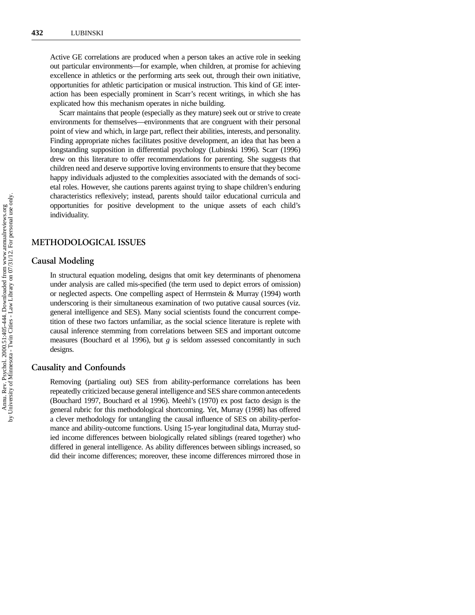Active GE correlations are produced when a person takes an active role in seeking out particular environments—for example, when children, at promise for achieving excellence in athletics or the performing arts seek out, through their own initiative, opportunities for athletic participation or musical instruction. This kind of GE interaction has been especially prominent in Scarr's recent writings, in which she has explicated how this mechanism operates in niche building.

Scarr maintains that people (especially as they mature) seek out or strive to create environments for themselves—environments that are congruent with their personal point of view and which, in large part, reflect their abilities, interests, and personality. Finding appropriate niches facilitates positive development, an idea that has been a longstanding supposition in differential psychology (Lubinski 1996). Scarr (1996) drew on this literature to offer recommendations for parenting. She suggests that children need and deserve supportive loving environments to ensure that they become happy individuals adjusted to the complexities associated with the demands of societal roles. However, she cautions parents against trying to shape children's enduring characteristics reflexively; instead, parents should tailor educational curricula and opportunities for positive development to the unique assets of each child's individuality.

#### **METHODOLOGICAL ISSUES**

# **Causal Modeling**

In structural equation modeling, designs that omit key determinants of phenomena under analysis are called mis-specified (the term used to depict errors of omission) or neglected aspects. One compelling aspect of Herrnstein & Murray (1994) worth underscoring is their simultaneous examination of two putative causal sources (viz. general intelligence and SES). Many social scientists found the concurrent competition of these two factors unfamiliar, as the social science literature is replete with causal inference stemming from correlations between SES and important outcome measures (Bouchard et al 1996), but  $g$  is seldom assessed concomitantly in such designs.

# **Causality and Confounds**

Removing (partialing out) SES from ability-performance correlations has been repeatedly criticized because general intelligence and SES share common antecedents (Bouchard 1997, Bouchard et al 1996). Meehl's (1970) ex post facto design is the general rubric for this methodological shortcoming. Yet, Murray (1998) has offered a clever methodology for untangling the causal influence of SES on ability-performance and ability-outcome functions. Using 15-year longitudinal data, Murray studied income differences between biologically related siblings (reared together) who differed in general intelligence. As ability differences between siblings increased, so did their income differences; moreover, these income differences mirrored those in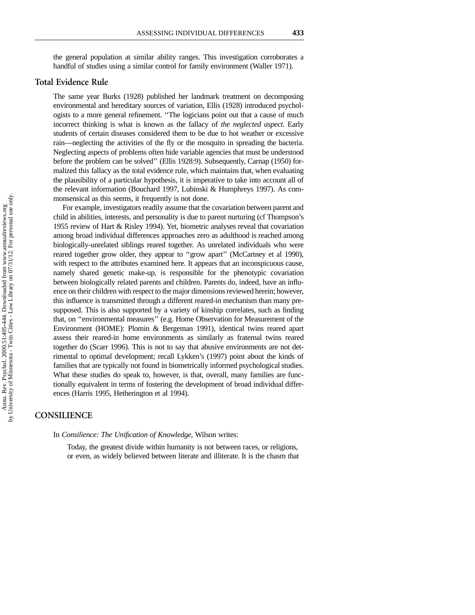the general population at similar ability ranges. This investigation corroborates a handful of studies using a similar control for family environment (Waller 1971).

#### **Total Evidence Rule**

The same year Burks (1928) published her landmark treatment on decomposing environmental and hereditary sources of variation, Ellis (1928) introduced psychologists to a more general refinement. ''The logicians point out that a cause of much incorrect thinking is what is known as the fallacy of *the neglected aspect.* Early students of certain diseases considered them to be due to hot weather or excessive rain—neglecting the activities of the fly or the mosquito in spreading the bacteria. Neglecting aspects of problems often hide variable agencies that must be understood before the problem can be solved'' (Ellis 1928:9). Subsequently, Carnap (1950) formalized this fallacy as the total evidence rule, which maintains that, when evaluating the plausibility of a particular hypothesis, it is imperative to take into account all of the relevant information (Bouchard 1997, Lubinski & Humphreys 1997). As commonsensical as this seems, it frequently is not done.

For example, investigators readily assume that the covariation between parent and child in abilities, interests, and personality is due to parent nurturing (cf Thompson's 1955 review of Hart & Risley 1994). Yet, biometric analyses reveal that covariation among broad individual differences approaches zero as adulthood is reached among biologically-unrelated siblings reared together. As unrelated individuals who were reared together grow older, they appear to ''grow apart'' (McCartney et al 1990), with respect to the attributes examined here. It appears that an inconspicuous cause, namely shared genetic make-up, is responsible for the phenotypic covariation between biologically related parents and children. Parents do, indeed, have an influence on their children with respect to the major dimensions reviewed herein; however, this influence is transmitted through a different reared-in mechanism than many presupposed. This is also supported by a variety of kinship correlates, such as finding that, on ''environmental measures'' (e.g. Home Observation for Measurement of the Environment (HOME): Plomin & Bergeman 1991), identical twins reared apart assess their reared-in home environments as similarly as fraternal twins reared together do (Scarr 1996). This is not to say that abusive environments are not detrimental to optimal development; recall Lykken's (1997) point about the kinds of families that are typically not found in biometrically informed psychological studies. What these studies do speak to, however, is that, overall, many families are functionally equivalent in terms of fostering the development of broad individual differences (Harris 1995, Hetherington et al 1994).

## **CONSILIENCE**

#### In *Consilience: The Unification of Knowledge,* Wilson writes:

Today, the greatest divide within humanity is not between races, or religions, or even, as widely believed between literate and illiterate. It is the chasm that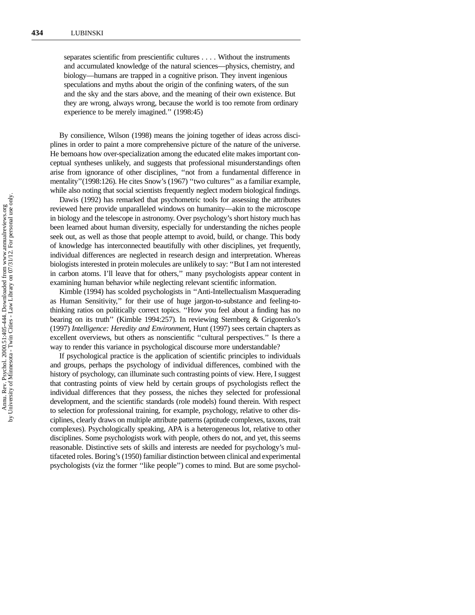separates scientific from prescientific cultures .... Without the instruments and accumulated knowledge of the natural sciences—physics, chemistry, and biology—humans are trapped in a cognitive prison. They invent ingenious speculations and myths about the origin of the confining waters, of the sun and the sky and the stars above, and the meaning of their own existence. But they are wrong, always wrong, because the world is too remote from ordinary experience to be merely imagined.'' (1998:45)

By consilience, Wilson (1998) means the joining together of ideas across disciplines in order to paint a more comprehensive picture of the nature of the universe. He bemoans how over-specialization among the educated elite makes important conceptual syntheses unlikely, and suggests that professional misunderstandings often arise from ignorance of other disciplines, ''not from a fundamental difference in mentality"(1998:126). He cites Snow's (1967) "two cultures" as a familiar example, while also noting that social scientists frequently neglect modern biological findings.

Dawis (1992) has remarked that psychometric tools for assessing the attributes reviewed here provide unparalleled windows on humanity—akin to the microscope in biology and the telescope in astronomy. Over psychology's short history much has been learned about human diversity, especially for understanding the niches people seek out, as well as those that people attempt to avoid, build, or change. This body of knowledge has interconnected beautifully with other disciplines, yet frequently, individual differences are neglected in research design and interpretation. Whereas biologists interested in protein molecules are unlikely to say: ''But I am not interested in carbon atoms. I'll leave that for others,'' many psychologists appear content in examining human behavior while neglecting relevant scientific information.

Kimble (1994) has scolded psychologists in ''Anti-Intellectualism Masquerading as Human Sensitivity,'' for their use of huge jargon-to-substance and feeling-tothinking ratios on politically correct topics. ''How you feel about a finding has no bearing on its truth'' (Kimble 1994:257). In reviewing Sternberg & Grigorenko's (1997) *Intelligence: Heredity and Environment,* Hunt (1997) sees certain chapters as excellent overviews, but others as nonscientific ''cultural perspectives.'' Is there a way to render this variance in psychological discourse more understandable?

If psychological practice is the application of scientific principles to individuals and groups, perhaps the psychology of individual differences, combined with the history of psychology, can illuminate such contrasting points of view. Here, I suggest that contrasting points of view held by certain groups of psychologists reflect the individual differences that they possess, the niches they selected for professional development, and the scientific standards (role models) found therein. With respect to selection for professional training, for example, psychology, relative to other disciplines, clearly draws on multiple attribute patterns (aptitude complexes, taxons, trait complexes). Psychologically speaking, APA is a heterogeneous lot, relative to other disciplines. Some psychologists work with people, others do not, and yet, this seems reasonable. Distinctive sets of skills and interests are needed for psychology's multifaceted roles. Boring's (1950) familiar distinction between clinical and experimental psychologists (viz the former ''like people'') comes to mind. But are some psychol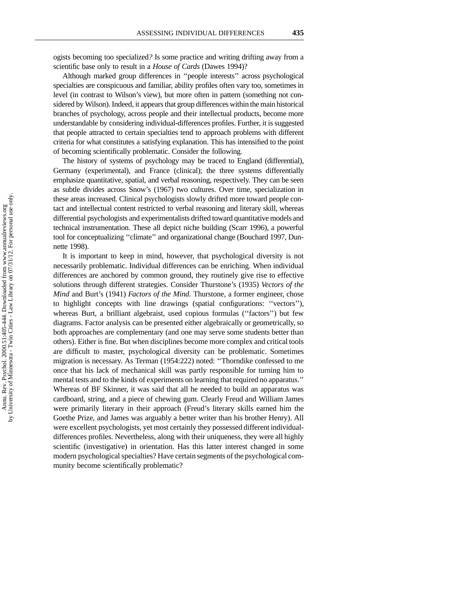ogists becoming too specialized*?* Is some practice and writing drifting away from a scientific base only to result in a *House of Cards* (Dawes 1994)?

Although marked group differences in ''people interests'' across psychological specialties are conspicuous and familiar, ability profiles often vary too, sometimes in level (in contrast to Wilson's view), but more often in pattern (something not considered by Wilson). Indeed, it appears that group differences within the main historical branches of psychology, across people and their intellectual products, become more understandable by considering individual-differences profiles. Further, it is suggested that people attracted to certain specialties tend to approach problems with different criteria for what constitutes a satisfying explanation. This has intensified to the point of becoming scientifically problematic. Consider the following.

The history of systems of psychology may be traced to England (differential), Germany (experimental), and France (clinical); the three systems differentially emphasize quantitative, spatial, and verbal reasoning, respectively. They can be seen as subtle divides across Snow's (1967) two cultures. Over time, specialization in these areas increased. Clinical psychologists slowly drifted more toward people contact and intellectual content restricted to verbal reasoning and literary skill, whereas differential psychologists and experimentalists drifted toward quantitative models and technical instrumentation. These all depict niche building (Scarr 1996), a powerful tool for conceptualizing ''climate'' and organizational change (Bouchard 1997, Dunnette 1998).

It is important to keep in mind, however, that psychological diversity is not necessarily problematic. Individual differences can be enriching. When individual differences are anchored by common ground, they routinely give rise to effective solutions through different strategies. Consider Thurstone's (1935) *Vectors of the Mind* and Burt's (1941) *Factors of the Mind.* Thurstone, a former engineer, chose to highlight concepts with line drawings (spatial configurations: ''vectors''), whereas Burt, a brilliant algebraist, used copious formulas ("factors") but few diagrams. Factor analysis can be presented either algebraically or geometrically, so both approaches are complementary (and one may serve some students better than others). Either is fine. But when disciplines become more complex and critical tools are difficult to master, psychological diversity can be problematic. Sometimes migration is necessary. As Terman (1954:222) noted: ''Thorndike confessed to me once that his lack of mechanical skill was partly responsible for turning him to mental tests and to the kinds of experiments on learning that required no apparatus.'' Whereas of BF Skinner, it was said that all he needed to build an apparatus was cardboard, string, and a piece of chewing gum. Clearly Freud and William James were primarily literary in their approach (Freud's literary skills earned him the Goethe Prize, and James was arguably a better writer than his brother Henry). All were excellent psychologists, yet most certainly they possessed different individualdifferences profiles. Nevertheless, along with their uniqueness, they were all highly scientific (investigative) in orientation. Has this latter interest changed in some modern psychological specialties? Have certain segments of the psychological community become scientifically problematic?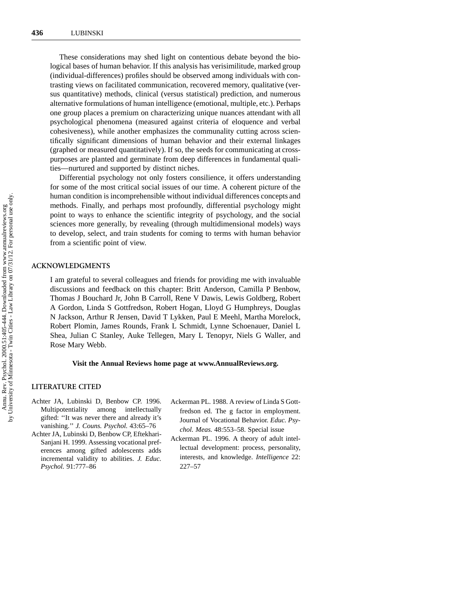These considerations may shed light on contentious debate beyond the biological bases of human behavior. If this analysis has verisimilitude, marked group (individual-differences) profiles should be observed among individuals with contrasting views on facilitated communication, recovered memory, qualitative (versus quantitative) methods, clinical (versus statistical) prediction, and numerous alternative formulations of human intelligence (emotional, multiple, etc.). Perhaps one group places a premium on characterizing unique nuances attendant with all psychological phenomena (measured against criteria of eloquence and verbal cohesiveness), while another emphasizes the communality cutting across scientifically significant dimensions of human behavior and their external linkages (graphed or measured quantitatively). If so, the seeds for communicating at crosspurposes are planted and germinate from deep differences in fundamental qualities—nurtured and supported by distinct niches.

Differential psychology not only fosters consilience, it offers understanding for some of the most critical social issues of our time. A coherent picture of the human condition is incomprehensible without individual differences concepts and methods. Finally, and perhaps most profoundly, differential psychology might point to ways to enhance the scientific integrity of psychology, and the social sciences more generally, by revealing (through multidimensional models) ways to develop, select, and train students for coming to terms with human behavior from a scientific point of view.

#### **ACKNOWLEDGMENTS**

I am grateful to several colleagues and friends for providing me with invaluable discussions and feedback on this chapter: Britt Anderson, Camilla P Benbow, Thomas J Bouchard Jr, John B Carroll, Rene V Dawis, Lewis Goldberg, Robert A Gordon, Linda S Gottfredson, Robert Hogan, Lloyd G Humphreys, Douglas N Jackson, Arthur R Jensen, David T Lykken, Paul E Meehl, Martha Morelock, Robert Plomin, James Rounds, Frank L Schmidt, Lynne Schoenauer, Daniel L Shea, Julian C Stanley, Auke Tellegen, Mary L Tenopyr, Niels G Waller, and Rose Mary Webb.

#### **Visit the Annual Reviews home page at www.AnnualReviews.org.**

#### **LITERATURE CITED**

- Achter JA, Lubinski D, Benbow CP. 1996. Multipotentiality among intellectually gifted: ''It was never there and already it's vanishing.'' *J. Couns. Psychol.* 43:65–76
- Achter JA, Lubinski D, Benbow CP, Eftekhari-Sanjani H. 1999. Assessing vocational preferences among gifted adolescents adds incremental validity to abilities. *J. Educ. Psychol.* 91:777–86
- Ackerman PL. 1988. A review of Linda S Gottfredson ed. The g factor in employment. Journal of Vocational Behavior. *Educ. Psychol. Meas.* 48:553–58. Special issue
- Ackerman PL. 1996. A theory of adult intellectual development: process, personality, interests, and knowledge. *Intelligence* 22: 227–57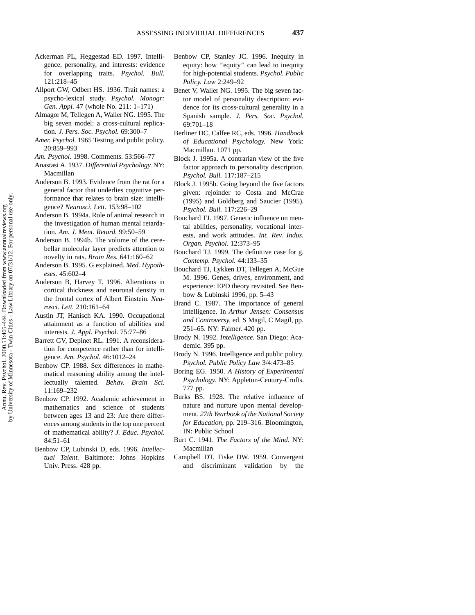- Ackerman PL, Heggestad ED. 1997. Intelligence, personality, and interests: evidence for overlapping traits. *Psychol. Bull.* 121:218–45
- Allport GW, Odbert HS. 1936. Trait names: a psycho-lexical study. *Psychol. Monogr: Gen. Appl.* 47 (whole No. 211: 1–171)
- Almagor M, Tellegen A, Waller NG. 1995. The big seven model: a cross-cultural replication. *J. Pers. Soc. Psychol.* 69:300–7
- *Amer. Psychol.* 1965 Testing and public policy. 20:859–993

*Am. Psychol.* 1998. Comments. 53:566–77

- Anastasi A. 1937. *Differential Psychology.* NY: Macmillan
- Anderson B. 1993. Evidence from the rat for a general factor that underlies cognitive performance that relates to brain size: intelligence? *Neurosci. Lett.* 153:98–102
- Anderson B. 1994a. Role of animal research in the investigation of human mental retardation. *Am. J. Ment. Retard.* 99:50–59
- Anderson B. 1994b. The volume of the cerebellar molecular layer predicts attention to novelty in rats. *Brain Res.* 641:160–62
- Anderson B. 1995. G explained. *Med. Hypotheses.* 45:602–4
- Anderson B, Harvey T. 1996. Alterations in cortical thickness and neuronal density in the frontal cortex of Albert Einstein. *Neurosci. Lett.* 210:161–64
- Austin JT, Hanisch KA. 1990. Occupational attainment as a function of abilities and interests. *J. Appl. Psychol.* 75:77–86
- Barrett GV, Depinet RL. 1991. A reconsideration for competence rather than for intelligence. *Am. Psychol.* 46:1012–24
- Benbow CP. 1988. Sex differences in mathematical reasoning ability among the intellectually talented. *Behav. Brain Sci.* 11:169–232
- Benbow CP. 1992. Academic achievement in mathematics and science of students between ages 13 and 23: Are there differences among students in the top one percent of mathematical ability? *J. Educ. Psychol.* 84:51–61
- Benbow CP, Lubinski D, eds. 1996. *Intellectual Talent.* Baltimore: Johns Hopkins Univ. Press. 428 pp.
- Benbow CP, Stanley JC. 1996. Inequity in equity: how ''equity'' can lead to inequity for high-potential students. *Psychol. Public Policy. Law* 2:249–92
- Benet V, Waller NG. 1995. The big seven factor model of personality description: evidence for its cross-cultural generality in a Spanish sample. *J. Pers. Soc. Psychol.* 69:701–18
- Berliner DC, Calfee RC, eds. 1996. *Handbook of Educational Psychology.* New York: Macmillan. 1071 pp.
- Block J. 1995a. A contrarian view of the five factor approach to personality description. *Psychol. Bull.* 117:187–215
- Block J. 1995b. Going beyond the five factors given: rejoinder to Costa and McCrae (1995) and Goldberg and Saucier (1995). *Psychol. Bull.* 117:226–29
- Bouchard TJ. 1997. Genetic influence on mental abilities, personality, vocational interests, and work attitudes. *Int. Rev. Indus. Organ. Psychol.* 12:373–95
- Bouchard TJ. 1999. The definitive case for g. *Contemp. Psychol.* 44:133–35
- Bouchard TJ, Lykken DT, Tellegen A, McGue M. 1996. Genes, drives, environment, and experience: EPD theory revisited. See Benbow & Lubinski 1996, pp. 5–43
- Brand C. 1987. The importance of general intelligence. In *Arthur Jensen: Consensus and Controversy,* ed. S Magil, C Magil, pp. 251–65. NY: Falmer. 420 pp.
- Brody N. 1992. *Intelligence.* San Diego: Academic. 395 pp.
- Brody N. 1996. Intelligence and public policy. *Psychol. Public Policy Law* 3/4:473–85
- Boring EG. 1950. *A History of Experimental Psychology.* NY: Appleton-Century-Crofts. 777 pp.
- Burks BS. 1928. The relative influence of nature and nurture upon mental development. *27th Yearbook of the National Society for Education,* pp. 219–316. Bloomington, IN: Public School
- Burt C. 1941. *The Factors of the Mind.* NY: Macmillan
- Campbell DT, Fiske DW. 1959. Convergent and discriminant validation by the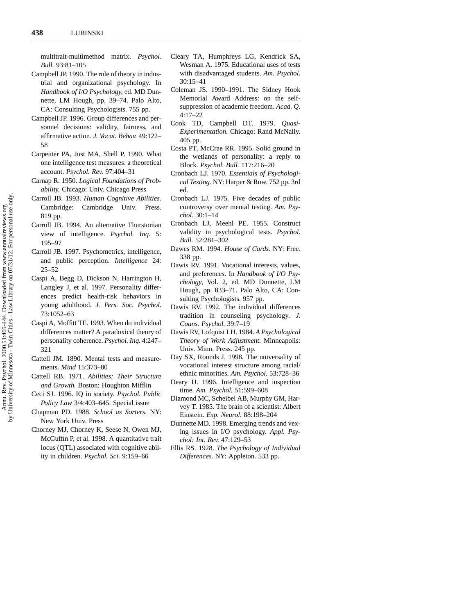multitrait-multimethod matrix. *Psychol. Bull.* 93:81–105

- Campbell JP. 1990. The role of theory in industrial and organizational psychology. In *Handbook of I/O Psychology,* ed. MD Dunnette, LM Hough, pp. 39–74. Palo Alto, CA: Consulting Psychologists. 755 pp.
- Campbell JP. 1996. Group differences and personnel decisions: validity, fairness, and affirmative action. *J. Vocat. Behav.* 49:122– 58
- Carpenter PA, Just MA, Shell P. 1990. What one intelligence test measures: a theoretical account. *Psychol. Rev.* 97:404–31
- Carnap R. 1950. *Logical Foundations of Probability.* Chicago: Univ. Chicago Press
- Carroll JB. 1993. *Human Cognitive Abilities.* Cambridge: Cambridge Univ. Press. 819 pp.
- Carroll JB. 1994. An alternative Thurstonian view of intelligence. *Psychol. Inq.* 5: 195–97
- Carroll JB. 1997. Psychometrics, intelligence, and public perception. *Intelligence* 24: 25–52
- Caspi A, Begg D, Dickson N, Harrington H, Langley J, et al. 1997. Personality differences predict health-risk behaviors in young adulthood. *J. Pers. Soc. Psychol.* 73:1052–63
- Caspi A, Moffitt TE. 1993. When do individual differences matter? A paradoxical theory of personality coherence. *Psychol. Inq.* 4:247– 321
- Cattell JM. 1890. Mental tests and measurements. *Mind* 15:373–80
- Cattell RB. 1971. *Abilities: Their Structure and Growth.* Boston: Houghton Mifflin
- Ceci SJ. 1996. IQ in society. *Psychol. Public Policy Law* 3/4:403–645. Special issue
- Chapman PD. 1988. *School as Sorters.* NY: New York Univ. Press
- Chorney MJ, Chorney K, Seese N, Owen MJ, McGuffin P, et al. 1998. A quantitative trait locus (QTL) associated with cognitive ability in children. *Psychol. Sci.* 9:159–66
- Cleary TA, Humphreys LG, Kendrick SA, Wesman A. 1975. Educational uses of tests with disadvantaged students. *Am. Psychol.* 30:15–41
- Coleman JS. 1990–1991. The Sidney Hook Memorial Award Address: on the selfsuppression of academic freedom. *Acad. Q.* 4:17–22
- Cook TD, Campbell DT. 1979. *Quasi-Experimentation.* Chicago: Rand McNally. 405 pp.
- Costa PT, McCrae RR. 1995. Solid ground in the wetlands of personality: a reply to Block. *Psychol. Bull.* 117:216–20
- Cronbach LJ. 1970. *Essentials of Psychological Testing.* NY: Harper & Row. 752 pp. 3rd ed.
- Cronbach LJ. 1975. Five decades of public controversy over mental testing. *Am. Psychol.* 30:1–14
- Cronbach LJ, Meehl PE. 1955. Construct validity in psychological tests. *Psychol. Bull.* 52:281–302
- Dawes RM. 1994. *House of Cards.* NY: Free. 338 pp.
- Dawis RV. 1991. Vocational interests, values, and preferences. In *Handbook of I/O Psychology,* Vol. 2, ed. MD Dunnette, LM Hough, pp. 833–71. Palo Alto, CA: Consulting Psychologists. 957 pp.
- Dawis RV. 1992. The individual differences tradition in counseling psychology. *J. Couns. Psychol.* 39:7–19
- Dawis RV, Lofquist LH. 1984. *A Psychological Theory of Work Adjustment.* Minneapolis: Univ. Minn. Press. 245 pp.
- Day SX, Rounds J. 1998. The universality of vocational interest structure among racial/ ethnic minorities. *Am. Psychol.* 53:728–36
- Deary IJ. 1996. Intelligence and inspection time. *Am. Psychol.* 51:599–608
- Diamond MC, Scheibel AB, Murphy GM, Harvey T. 1985. The brain of a scientist: Albert Einstein. *Exp. Neurol.* 88:198–204
- Dunnette MD. 1998. Emerging trends and vexing issues in I/O psychology. *Appl. Psychol: Int. Rev.* 47:129–53
- Ellis RS. 1928. *The Psychology of Individual Differences.* NY: Appleton. 533 pp.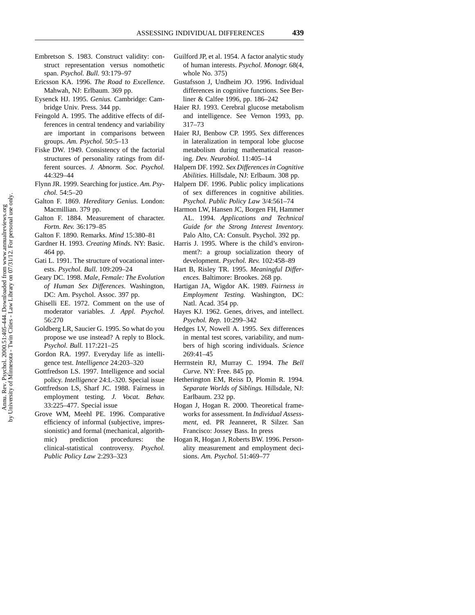- Embretson S. 1983. Construct validity: construct representation versus nomothetic span. *Psychol. Bull.* 93:179–97
- Ericsson KA. 1996. *The Road to Excellence.* Mahwah, NJ: Erlbaum. 369 pp.
- Eysenck HJ. 1995. *Genius.* Cambridge: Cambridge Univ. Press. 344 pp.
- Feingold A. 1995. The additive effects of differences in central tendency and variability are important in comparisons between groups. *Am. Psychol.* 50:5–13
- Fiske DW. 1949. Consistency of the factorial structures of personality ratings from different sources. *J. Abnorm. Soc. Psychol.* 44:329–44
- Flynn JR. 1999. Searching for justice. *Am. Psychol.* 54:5–20
- Galton F. 1869. *Hereditary Genius.* London: Macmillian. 379 pp.
- Galton F. 1884. Measurement of character. *Fortn. Rev.* 36:179–85
- Galton F. 1890. Remarks. *Mind* 15:380–81
- Gardner H. 1993. *Creating Minds.* NY: Basic. 464 pp.
- Gati L. 1991. The structure of vocational interests. *Psychol. Bull.* 109:209–24
- Geary DC. 1998. *Male, Female: The Evolution of Human Sex Differences.* Washington, DC: Am. Psychol. Assoc. 397 pp.
- Ghiselli EE. 1972. Comment on the use of moderator variables. *J. Appl. Psychol.* 56:270
- Goldberg LR, Saucier G. 1995. So what do you propose we use instead? A reply to Block. *Psychol. Bull.* 117:221–25
- Gordon RA. 1997. Everyday life as intelligence test. *Intelligence* 24:203–320
- Gottfredson LS. 1997. Intelligence and social policy. *Intelligence* 24:L-320. Special issue
- Gottfredson LS, Sharf JC. 1988. Fairness in employment testing. *J. Vocat. Behav.* 33:225–477. Special issue
- Grove WM, Meehl PE. 1996. Comparative efficiency of informal (subjective, impressionistic) and formal (mechanical, algorithmic) prediction procedures: the clinical-statistical controversy. *Psychol. Public Policy Law* 2:293–323
- Guilford JP, et al. 1954. A factor analytic study of human interests. *Psychol. Monogr.* 68(4, whole No. 375)
- Gustafsson J, Undheim JO. 1996. Individual differences in cognitive functions. See Berliner & Calfee 1996, pp. 186–242
- Haier RJ. 1993. Cerebral glucose metabolism and intelligence. See Vernon 1993, pp. 317–73
- Haier RJ, Benbow CP. 1995. Sex differences in lateralization in temporal lobe glucose metabolism during mathematical reasoning. *Dev. Neurobiol.* 11:405–14
- Halpern DF. 1992. *Sex Differences in Cognitive Abilities.* Hillsdale, NJ: Erlbaum. 308 pp.
- Halpern DF. 1996. Public policy implications of sex differences in cognitive abilities. *Psychol. Public Policy Law* 3/4:561–74
- Harmon LW, Hansen JC, Borgen FH, Hammer AL. 1994. *Applications and Technical Guide for the Strong Interest Inventory.* Palo Alto, CA: Consult. Psychol. 392 pp.
- Harris J. 1995. Where is the child's environment?: a group socialization theory of development. *Psychol. Rev.* 102:458–89
- Hart B, Risley TR. 1995. *Meaningful Differences.* Baltimore: Brookes. 268 pp.
- Hartigan JA, Wigdor AK. 1989. *Fairness in Employment Testing.* Washington, DC: Natl. Acad. 354 pp.
- Hayes KJ. 1962. Genes, drives, and intellect. *Psychol. Rep.* 10:299–342
- Hedges LV, Nowell A. 1995. Sex differences in mental test scores, variability, and numbers of high scoring individuals. *Science* 269:41–45
- Herrnstein RJ, Murray C. 1994. *The Bell Curve.* NY: Free. 845 pp.
- Hetherington EM, Reiss D, Plomin R. 1994. *Separate Worlds of Siblings.* Hillsdale, NJ: Earlbaum. 232 pp.
- Hogan J, Hogan R. 2000. Theoretical frameworks for assessment. In *Individual Assessment,* ed. PR Jeanneret, R Silzer. San Francisco: Jossey Bass. In press
- Hogan R, Hogan J, Roberts BW. 1996. Personality measurement and employment decisions. *Am. Psychol.* 51:469–77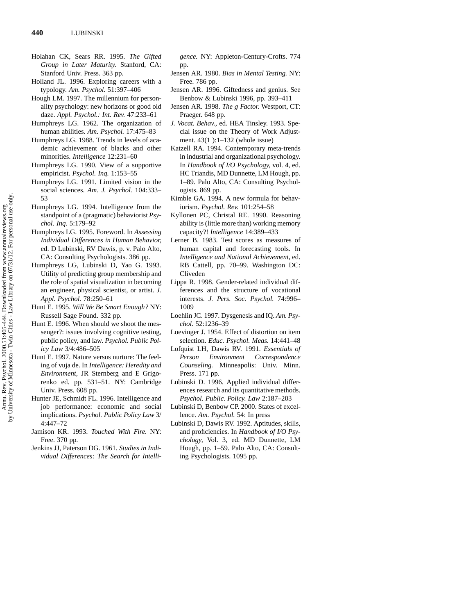- Holahan CK, Sears RR. 1995. *The Gifted Group in Later Maturity.* Stanford, CA: Stanford Univ. Press. 363 pp.
- Holland JL. 1996. Exploring careers with a typology. *Am. Psychol.* 51:397–406
- Hough LM. 1997. The millennium for personality psychology: new horizons or good old daze. *Appl. Psychol.: Int. Rev.* 47:233–61
- Humphreys LG. 1962. The organization of human abilities. *Am. Psychol.* 17:475–83
- Humphreys LG. 1988. Trends in levels of academic achievement of blacks and other minorities. *Intelligence* 12:231–60
- Humphreys LG. 1990. View of a supportive empiricist. *Psychol. Inq.* 1:153–55
- Humphreys LG. 1991. Limited vision in the social sciences. *Am. J. Psychol.* 104:333– 53
- Humphreys LG. 1994. Intelligence from the standpoint of a (pragmatic) behaviorist *Psychol. Inq.* 5:179–92
- Humphreys LG. 1995. Foreword. In *Assessing Individual Differences in Human Behavior,* ed. D Lubinski, RV Dawis, p. v. Palo Alto, CA: Consulting Psychologists. 386 pp.
- Humphreys LG, Lubinski D, Yao G. 1993. Utility of predicting group membership and the role of spatial visualization in becoming an engineer, physical scientist, or artist. *J. Appl. Psychol.* 78:250–61
- Hunt E. 1995. *Will We Be Smart Enough?* NY: Russell Sage Found. 332 pp.
- Hunt E. 1996. When should we shoot the messenger?: issues involving cognitive testing, public policy, and law. *Psychol. Public Policy Law* 3/4:486–505
- Hunt E. 1997. Nature versus nurture: The feeling of vuja de. In *Intelligence: Heredity and Environment,* JR Sternberg and E Grigorenko ed. pp. 531–51. NY: Cambridge Univ. Press. 608 pp.
- Hunter JE, Schmidt FL. 1996. Intelligence and job performance: economic and social implications. *Psychol. Public Policy Law* 3/ 4:447–72
- Jamison KR. 1993. *Touched With Fire.* NY: Free. 370 pp.
- Jenkins JJ, Paterson DG. 1961. *Studies in Individual Differences: The Search for Intelli-*

*gence.* NY: Appleton-Century-Crofts. 774 pp.

- Jensen AR. 1980. *Bias in Mental Testing.* NY: Free. 786 pp.
- Jensen AR. 1996. Giftedness and genius. See Benbow & Lubinski 1996, pp. 393–411
- Jensen AR. 1998. *The g Factor.* Westport, CT: Praeger. 648 pp.
- *J. Vocat. Behav.,* ed. HEA Tinsley. 1993. Special issue on the Theory of Work Adjustment. 43(1 ):1–132 (whole issue)
- Katzell RA. 1994. Contemporary meta-trends in industrial and organizational psychology. In *Handbook of I/O Psychology,* vol. 4, ed. HC Triandis, MD Dunnette, LM Hough, pp. 1–89. Palo Alto, CA: Consulting Psychologists. 869 pp.
- Kimble GA. 1994. A new formula for behaviorism. *Psychol. Rev.* 101:254–58
- Kyllonen PC, Christal RE. 1990. Reasoning ability is (little more than) working memory capacity?! *Intelligence* 14:389–433
- Lerner B. 1983. Test scores as measures of human capital and forecasting tools. In *Intelligence and National Achievement,* ed. RB Cattell, pp. 70–99. Washington DC: Cliveden
- Lippa R. 1998. Gender-related individual differences and the structure of vocational interests. *J. Pers. Soc. Psychol.* 74:996– 1009
- Loehlin JC. 1997. Dysgenesis and IQ. *Am. Psychol.* 52:1236–39
- Loevinger J. 1954. Effect of distortion on item selection. *Educ. Psychol. Meas.* 14:441–48
- Lofquist LH, Dawis RV. 1991. *Essentials of Person Environment Correspondence Counseling.* Minneapolis: Univ. Minn. Press. 171 pp.
- Lubinski D. 1996. Applied individual differences research and its quantitative methods. *Psychol. Public. Policy. Law* 2:187–203
- Lubinski D, Benbow CP. 2000. States of excellence. *Am. Psychol.* 54: In press
- Lubinski D, Dawis RV. 1992. Aptitudes, skills, and proficiencies. In *Handbook of I/O Psychology,* Vol. 3, ed. MD Dunnette, LM Hough, pp. 1–59. Palo Alto, CA: Consulting Psychologists. 1095 pp.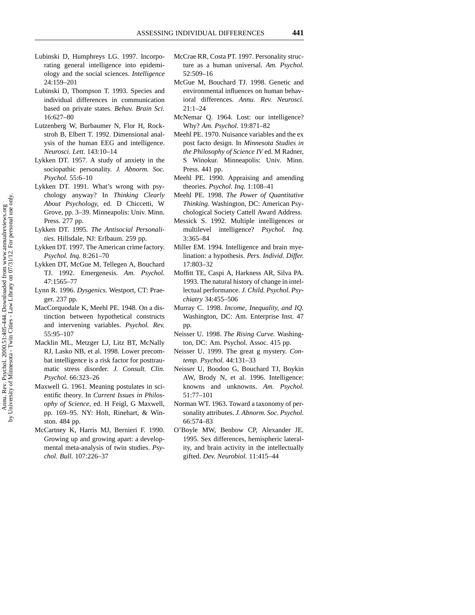- Lubinski D, Humphreys LG. 1997. Incorporating general intelligence into epidemiology and the social sciences. *Intelligence* 24:159–201
- Lubinski D, Thompson T. 1993. Species and individual differences in communication based on private states. *Behav. Brain Sci.* 16:627–80
- Lutzenberg W, Burbaumer N, Flor H, Rockstroh B, Elbert T. 1992. Dimensional analysis of the human EEG and intelligence. *Neurosci. Lett.* 143:10–14
- Lykken DT. 1957. A study of anxiety in the sociopathic personality. *J. Abnorm. Soc. Psychol.* 55:6–10
- Lykken DT. 1991. What's wrong with psychology anyway? In *Thinking Clearly About Psychology,* ed. D Chiccetti, W Grove, pp. 3–39. Minneapolis: Univ. Minn. Press. 277 pp.
- Lykken DT. 1995. *The Antisocial Personalities.* Hillsdale, NJ: Erlbaum. 259 pp.
- Lykken DT. 1997. The American crime factory. *Psychol. Inq.* 8:261–70
- Lykken DT, McGue M, Tellegen A, Bouchard TJ. 1992. Emergenesis. *Am. Psychol.* 47:1565–77
- Lynn R. 1996. *Dysgenics.* Westport, CT: Praeger. 237 pp.
- MacCorquodale K, Meehl PE. 1948. On a distinction between hypothetical constructs and intervening variables. *Psychol. Rev.* 55:95–107
- Macklin ML, Metzger LJ, Litz BT, McNally RJ, Lasko NB, et al. 1998. Lower precombat intelligence is a risk factor for posttraumatic stress disorder. *J. Consult. Clin. Psychol.* 66:323–26
- Maxwell G. 1961. Meaning postulates in scientific theory. In *Current Issues in Philosophy of Science,* ed. H Feigl, G Maxwell, pp. 169–95. NY: Holt, Rinehart, & Winston. 484 pp.
- McCartney K, Harris MJ, Bernieri F. 1990. Growing up and growing apart: a developmental meta-analysis of twin studies. *Psychol. Bull.* 107:226–37
- McCrae RR, Costa PT. 1997. Personality structure as a human universal. *Am. Psychol.* 52:509–16
- McGue M, Bouchard TJ. 1998. Genetic and environmental influences on human behavioral differences. *Annu. Rev. Neurosci.* 21:1–24
- McNemar Q. 1964. Lost: our intelligence? Why? *Am. Psychol.* 19:871–82
- Meehl PE. 1970. Nuisance variables and the ex post facto design. In *Minnesota Studies in the Philosophy of Science IV* ed. M Radner, S Winokur. Minneapolis: Univ. Minn. Press. 441 pp.
- Meehl PE. 1990. Appraising and amending theories. *Psychol. Inq.* 1:108–41
- Meehl PE. 1998. *The Power of Quantitative Thinking.* Washington, DC: American Psychological Society Cattell Award Address.
- Messick S. 1992. Multiple intelligences or multilevel intelligence? *Psychol. Inq.* 3:365–84
- Miller EM. 1994. Intelligence and brain myelination: a hypothesis. *Pers. Individ. Differ.* 17:803–32
- Moffitt TE, Caspi A, Harkness AR, Silva PA. 1993. The natural history of change in intellectual performance. *J. Child. Psychol. Psychiatry* 34:455–506
- Murray C. 1998. *Income, Inequality, and IQ.* Washington, DC: Am. Enterprise Inst. 47 pp.
- Neisser U. 1998. *The Rising Curve.* Washington, DC: Am. Psychol. Assoc. 415 pp.
- Neisser U. 1999. The great g mystery. *Contemp. Psychol.* 44:131–33
- Neisser U, Boodoo G, Bouchard TJ, Boykin AW, Brody N, et al. 1996. Intelligence: knowns and unknowns. *Am. Psychol.* 51:77–101
- Norman WT. 1963. Toward a taxonomy of personality attributes. *J. Abnorm. Soc. Psychol.* 66:574–83
- O'Boyle MW, Benbow CP, Alexander JE. 1995. Sex differences, hemispheric laterality, and brain activity in the intellectually gifted. *Dev. Neurobiol.* 11:415–44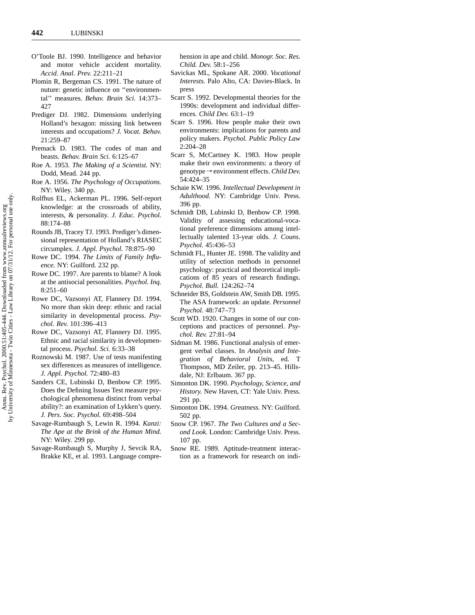- O'Toole BJ. 1990. Intelligence and behavior and motor vehicle accident mortality. *Accid. Anal. Prev.* 22:211–21
- Plomin R, Bergeman CS. 1991. The nature of nuture: genetic influence on ''environmental'' measures. *Behav. Brain Sci.* 14:373– 427
- Prediger DJ. 1982. Dimensions underlying Holland's hexagon: missing link between interests and occupations? *J. Vocat. Behav.* 21:259–87
- Premack D. 1983. The codes of man and beasts. *Behav. Brain Sci.* 6:125–67
- Roe A. 1953. *The Making of a Scientist.* NY: Dodd, Mead. 244 pp.
- Roe A. 1956. *The Psychology of Occupations.* NY: Wiley. 340 pp.
- Rolfhus EL, Ackerman PL. 1996. Self-report knowledge: at the crossroads of ability, interests, & personality. *J. Educ. Psychol.* 88:174–88
- Rounds JB, Tracey TJ. 1993. Prediger's dimensional representation of Holland's RIASEC circumplex. *J. Appl. Psychol.* 78:875–90
- Rowe DC. 1994. *The Limits of Family Influence.* NY: Guilford. 232 pp.
- Rowe DC. 1997. Are parents to blame? A look at the antisocial personalities. *Psychol. Inq.* 8:251–60
- Rowe DC, Vazsonyi AT, Flannery DJ. 1994. No more than skin deep: ethnic and racial similarity in developmental process. *Psychol. Rev.* 101:396–413
- Rowe DC, Vazsonyi AT, Flannery DJ. 1995. Ethnic and racial similarity in developmental process. *Psychol. Sci.* 6:33–38
- Roznowski M. 1987. Use of tests manifesting sex differences as measures of intelligence. *J. Appl. Psychol.* 72:480–83
- Sanders CE, Lubinski D, Benbow CP. 1995. Does the Defining Issues Test measure psychological phenomena distinct from verbal ability?: an examination of Lykken's query. *J. Pers. Soc. Psychol.* 69:498–504
- Savage-Rumbaugh S, Lewin R. 1994. *Kanzi: The Ape at the Brink of the Human Mind.* NY: Wiley. 299 pp.
- Savage-Rumbaugh S, Murphy J, Sevcik RA, Brakke KE, et al. 1993. Language compre-

hension in ape and child. *Monogr. Soc. Res. Child. Dev.* 58:1–256

- Savickas ML, Spokane AR. 2000. *Vocational Interests.* Palo Alto, CA: Davies-Black. In press
- Scarr S. 1992. Developmental theories for the 1990s: development and individual differences. *Child Dev.* 63:1–19
- Scarr S. 1996. How people make their own environments: implications for parents and policy makers. *Psychol. Public Policy Law* 2:204–28
- Scarr S, McCartney K. 1983. How people make their own environments: a theory of genotype → environment effects. *Child Dev.* 54:424–35
- Schaie KW. 1996. *Intellectual Development in Adulthood.* NY: Cambridge Univ. Press. 396 pp.
- Schmidt DB, Lubinski D, Benbow CP. 1998. Validity of assessing educational-vocational preference dimensions among intellectually talented 13-year olds. *J. Couns. Psychol.* 45:436–53
- Schmidt FL, Hunter JE. 1998. The validity and utility of selection methods in personnel psychology: practical and theoretical implications of 85 years of research findings. *Psychol. Bull.* 124:262–74
- Schneider BS, Goldstein AW, Smith DB. 1995. The ASA framework: an update. *Personnel Psychol.* 48:747–73
- Scott WD. 1920. Changes in some of our conceptions and practices of personnel. *Psychol. Rev.* 27:81–94
- Sidman M. 1986. Functional analysis of emergent verbal classes. In *Analysis and Integration of Behavioral Units,* ed. T Thompson, MD Zeiler, pp. 213–45. Hillsdale, NJ: Erlbaum. 367 pp.
- Simonton DK. 1990. *Psychology, Science, and History.* New Haven, CT: Yale Univ. Press. 291 pp.
- Simonton DK. 1994. *Greatness.* NY: Guilford. 502 pp.
- Snow CP. 1967. *The Two Cultures and a Second Look.* London: Cambridge Univ. Press. 107 pp.
- Snow RE. 1989. Aptitude-treatment interaction as a framework for research on indi-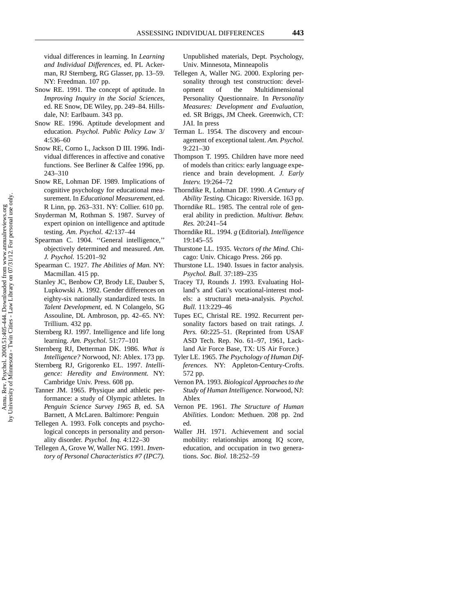vidual differences in learning. In *Learning and Individual Differences,* ed. PL Ackerman, RJ Sternberg, RG Glasser, pp. 13–59. NY: Freedman. 107 pp.

- Snow RE. 1991. The concept of aptitude. In *Improving Inquiry in the Social Sciences,* ed. RE Snow, DE Wiley, pp. 249–84. Hillsdale, NJ: Earlbaum. 343 pp.
- Snow RE. 1996. Aptitude development and education. *Psychol. Public Policy Law* 3/ 4:536–60
- Snow RE, Corno L, Jackson D III. 1996. Individual differences in affective and conative functions. See Berliner & Calfee 1996, pp. 243–310
- Snow RE, Lohman DF. 1989. Implications of cognitive psychology for educational measurement. In *Educational Measurement,* ed. R Linn, pp. 263–331. NY: Collier. 610 pp.
- Snyderman M, Rothman S. 1987. Survey of expert opinion on intelligence and aptitude testing. *Am. Psychol. 42:*137–44
- Spearman C. 1904. ''General intelligence,'' objectively determined and measured. *Am. J. Psychol.* 15:201–92
- Spearman C. 1927. *The Abilities of Man.* NY: Macmillan. 415 pp.
- Stanley JC, Benbow CP, Brody LE, Dauber S, Lupkowski A. 1992. Gender differences on eighty-six nationally standardized tests. In *Talent Development,* ed. N Colangelo, SG Assouline, DL Ambroson, pp. 42–65. NY: Trillium. 432 pp.
- Sternberg RJ. 1997. Intelligence and life long learning. *Am. Psychol.* 51:77–101
- Sternberg RJ, Detterman DK. 1986. *What is Intelligence?* Norwood, NJ: Ablex. 173 pp.
- Sternberg RJ, Grigorenko EL. 1997. *Intelligence: Heredity and Environment.* NY: Cambridge Univ. Press. 608 pp.
- Tanner JM. 1965. Physique and athletic performance: a study of Olympic athletes. In *Penguin Science Survey 1965 B,* ed. SA Barnett, A McLaren. Baltimore: Penguin
- Tellegen A. 1993. Folk concepts and psychological concepts in personality and personality disorder. *Psychol. Inq.* 4:122–30
- Tellegen A, Grove W, Waller NG. 1991. *Inventory of Personal Characteristics #7 (IPC7).*

Unpublished materials, Dept. Psychology, Univ. Minnesota, Minneapolis

- Tellegen A, Waller NG. 2000. Exploring personality through test construction: development of the Multidimensional Personality Questionnaire. In *Personality Measures: Development and Evaluation*, ed. SR Briggs, JM Cheek. Greenwich, CT: JAI. In press
- Terman L. 1954. The discovery and encouragement of exceptional talent. *Am. Psychol.* 9:221–30
- Thompson T. 1995. Children have more need of models than critics: early language experience and brain development. *J. Early Interv.* 19:264–72
- Thorndike R, Lohman DF. 1990. *A Century of Ability Testing.* Chicago: Riverside. 163 pp.
- Thorndike RL. 1985. The central role of general ability in prediction. *Multivar. Behav. Res.* 20:241–54
- Thorndike RL. 1994. *g* (Editorial). *Intelligence* 19:145–55
- Thurstone LL. 1935. *Vectors of the Mind.* Chicago: Univ. Chicago Press. 266 pp.
- Thurstone LL. 1940. Issues in factor analysis. *Psychol. Bull.* 37:189–235
- Tracey TJ, Rounds J. 1993. Evaluating Holland's and Gati's vocational-interest models: a structural meta-analysis. *Psychol. Bull.* 113:229–46
- Tupes EC, Christal RE. 1992. Recurrent personality factors based on trait ratings. *J. Pers.* 60:225–51. (Reprinted from USAF ASD Tech. Rep. No. 61–97, 1961, Lackland Air Force Base, TX: US Air Force.)
- Tyler LE. 1965. *The Psychology of Human Differences.* NY: Appleton-Century-Crofts. 572 pp.
- Vernon PA. 1993. *Biological Approaches to the Study of Human Intelligence.* Norwood, NJ: Ablex
- Vernon PE. 1961. *The Structure of Human Abilities.* London: Methuen. 208 pp. 2nd ed.
- Waller JH. 1971. Achievement and social mobility: relationships among IQ score, education, and occupation in two generations. *Soc. Biol.* 18:252–59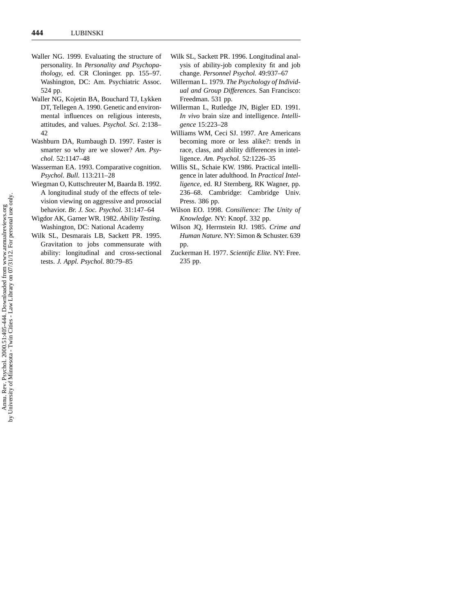- Waller NG. 1999. Evaluating the structure of personality. In *Personality and Psychopathology,* ed. CR Cloninger. pp. 155–97. Washington, DC: Am. Psychiatric Assoc. 524 pp.
- Waller NG, Kojetin BA, Bouchard TJ, Lykken DT, Tellegen A. 1990. Genetic and environmental influences on religious interests, attitudes, and values. *Psychol. Sci.* 2:138– 42
- Washburn DA, Rumbaugh D. 1997. Faster is smarter so why are we slower? *Am. Psychol.* 52:1147–48
- Wasserman EA. 1993. Comparative cognition. *Psychol. Bull.* 113:211–28
- Wiegman O, Kuttschreuter M, Baarda B. 1992. A longitudinal study of the effects of television viewing on aggressive and prosocial behavior. *Br. J. Soc. Psychol.* 31:147–64
- Wigdor AK, Garner WR. 1982. *Ability Testing.* Washington, DC: National Academy
- Wilk SL, Desmarais LB, Sackett PR. 1995. Gravitation to jobs commensurate with ability: longitudinal and cross-sectional tests. *J. Appl. Psychol.* 80:79–85
- Wilk SL, Sackett PR. 1996. Longitudinal analysis of ability-job complexity fit and job change. *Personnel Psychol.* 49:937–67
- Willerman L. 1979. *The Psychology of Individual and Group Differences.* San Francisco: Freedman. 531 pp.
- Willerman L, Rutledge JN, Bigler ED. 1991. *In vivo* brain size and intelligence. *Intelligence* 15:223–28
- Williams WM, Ceci SJ. 1997. Are Americans becoming more or less alike?: trends in race, class, and ability differences in intelligence. *Am. Psychol.* 52:1226–35
- Willis SL, Schaie KW. 1986. Practical intelligence in later adulthood. In *Practical Intelligence,* ed. RJ Sternberg, RK Wagner, pp. 236–68. Cambridge: Cambridge Univ. Press. 386 pp.
- Wilson EO. 1998. *Consilience: The Unity of Knowledge.* NY: Knopf. 332 pp.
- Wilson JQ, Herrnstein RJ. 1985. *Crime and Human Nature.* NY: Simon & Schuster. 639 pp.
- Zuckerman H. 1977. *Scientific Elite.* NY: Free. 235 pp.